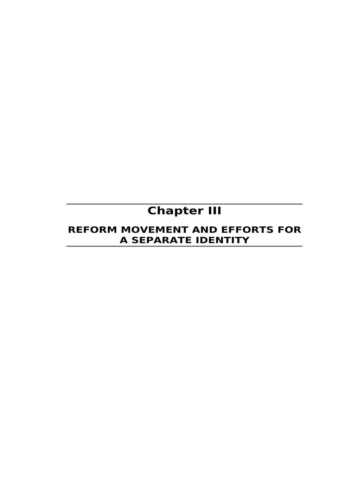# **Chapter III**

## **REFORM MOVEMENT AND EFFORTS FOR A SEPARATE IDENTITY**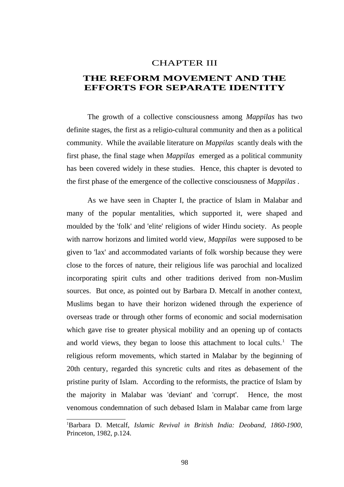#### CHAPTER III

### **THE REFORM MOVEMENT AND THE EFFORTS FOR SEPARATE IDENTITY**

The growth of a collective consciousness among *Mappilas* has two definite stages, the first as a religio-cultural community and then as a political community. While the available literature on *Mappilas* scantly deals with the first phase, the final stage when *Mappilas* emerged as a political community has been covered widely in these studies. Hence, this chapter is devoted to the first phase of the emergence of the collective consciousness of *Mappilas* .

As we have seen in Chapter I, the practice of Islam in Malabar and many of the popular mentalities, which supported it, were shaped and moulded by the 'folk' and 'elite' religions of wider Hindu society. As people with narrow horizons and limited world view, *Mappilas* were supposed to be given to 'lax' and accommodated variants of folk worship because they were close to the forces of nature, their religious life was parochial and localized incorporating spirit cults and other traditions derived from non-Muslim sources. But once, as pointed out by Barbara D. Metcalf in another context, Muslims began to have their horizon widened through the experience of overseas trade or through other forms of economic and social modernisation which gave rise to greater physical mobility and an opening up of contacts and world views, they began to loose this attachment to local cults. $<sup>1</sup>$  $<sup>1</sup>$  $<sup>1</sup>$  The</sup> religious reform movements, which started in Malabar by the beginning of 20th century, regarded this syncretic cults and rites as debasement of the pristine purity of Islam. According to the reformists, the practice of Islam by the majority in Malabar was 'deviant' and 'corrupt'. Hence, the most venomous condemnation of such debased Islam in Malabar came from large

<sup>1</sup>Barbara D. Metcalf, *Islamic Revival in British India: Deoband, 1860-1900,* Princeton, 1982, p.124.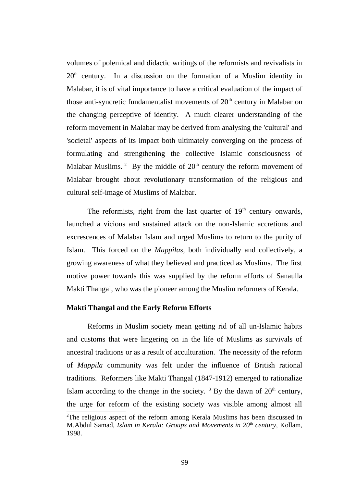volumes of polemical and didactic writings of the reformists and revivalists in  $20<sup>th</sup>$  century. In a discussion on the formation of a Muslim identity in Malabar, it is of vital importance to have a critical evaluation of the impact of those anti-syncretic fundamentalist movements of  $20<sup>th</sup>$  century in Malabar on the changing perceptive of identity. A much clearer understanding of the reform movement in Malabar may be derived from analysing the 'cultural' and 'societal' aspects of its impact both ultimately converging on the process of formulating and strengthening the collective Islamic consciousness of Malabar Muslims.  $2$  By the middle of  $20<sup>th</sup>$  century the reform movement of Malabar brought about revolutionary transformation of the religious and cultural self-image of Muslims of Malabar.

The reformists, right from the last quarter of  $19<sup>th</sup>$  century onwards, launched a vicious and sustained attack on the non-Islamic accretions and excrescences of Malabar Islam and urged Muslims to return to the purity of Islam. This forced on the *Mappilas,* both individually and collectively, a growing awareness of what they believed and practiced as Muslims. The first motive power towards this was supplied by the reform efforts of Sanaulla Makti Thangal, who was the pioneer among the Muslim reformers of Kerala.

#### **Makti Thangal and the Early Reform Efforts**

Reforms in Muslim society mean getting rid of all un-Islamic habits and customs that were lingering on in the life of Muslims as survivals of ancestral traditions or as a result of acculturation. The necessity of the reform of *Mappila* community was felt under the influence of British rational traditions. Reformers like Makti Thangal (1847-1912) emerged to rationalize Islam according to the change in the society.  $3$  By the dawn of  $20<sup>th</sup>$  century, the urge for reform of the existing society was visible among almost all

 $2$ The religious aspect of the reform among Kerala Muslims has been discussed in M.Abdul Samad, *Islam in Kerala: Groups and Movements in 20th century,* Kollam, 1998.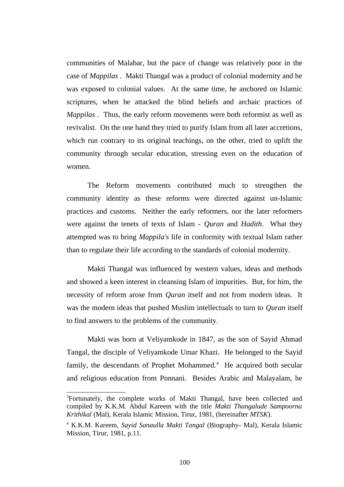communities of Malabar, but the pace of change was relatively poor in the case of *Mappilas* . Makti Thangal was a product of colonial modernity and he was exposed to colonial values. At the same time, he anchored on Islamic scriptures, when he attacked the blind beliefs and archaic practices of *Mappilas* . Thus, the early reform movements were both reformist as well as revivalist. On the one hand they tried to purify Islam from all later accretions, which run contrary to its original teachings, on the other, tried to uplift the community through secular education, stressing even on the education of women.

The Reform movements contributed much to strengthen the community identity as these reforms were directed against un-Islamic practices and customs. Neither the early reformers, nor the later reformers were against the tenets of texts of Islam - *Quran* and *Hadith*. What they attempted was to bring *Mappila's* life in conformity with textual Islam rather than to regulate their life according to the standards of colonial modernity.

Makti Thangal was influenced by western values, ideas and methods and showed a keen interest in cleansing Islam of impurities. But, for him, the necessity of reform arose from *Quran* itself and not from modern ideas. It was the modern ideas that pushed Muslim intellectuals to turn to *Quran* itself to find answers to the problems of the community.

Makti was born at Veliyamkode in 1847, as the son of Sayid Ahmad Tangal, the disciple of Veliyamkode Umar Khazi. He belonged to the Sayid family, the descendants of Prophet Mohammed.<sup>[4](#page--1-0)</sup> He acquired both secular and religious education from Ponnani. Besides Arabic and Malayalam, he

<sup>&</sup>lt;sup>3</sup>Fortunately, the complete works of Makti Thangal, have been collected and compiled by K.K.M. Abdul Kareem with the title *Makti Thangalude Sampoorna Krithikal* (Mal), Kerala Islamic Mission, Tirur, 1981, (hereinafter *MTSK*).

<sup>4</sup> K.K.M. Kareem, *Sayid Sanaulla Makti Tangal* (Biography- Mal), Kerala Islamic Mission, Tirur, 1981, p.11.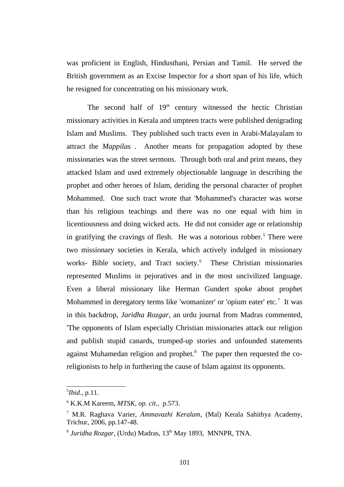was proficient in English, Hindusthani, Persian and Tamil. He served the British government as an Excise Inspector for a short span of his life, which he resigned for concentrating on his missionary work.

The second half of  $19<sup>th</sup>$  century witnessed the hectic Christian missionary activities in Kerala and umpteen tracts were published denigrading Islam and Muslims. They published such tracts even in Arabi-Malayalam to attract the *Mappilas* . Another means for propagation adopted by these missionaries was the street sermons. Through both oral and print means, they attacked Islam and used extremely objectionable language in describing the prophet and other heroes of Islam, deriding the personal character of prophet Mohammed. One such tract wrote that 'Mohammed's character was worse than his religious teachings and there was no one equal with him in licentiousness and doing wicked acts. He did not consider age or relationship in gratifying the cravings of flesh. He was a notorious robber.<sup>[5](#page--1-3)</sup> There were two missionary societies in Kerala, which actively indulged in missionary works- Bible society, and Tract society.<sup>[6](#page--1-4)</sup> These Christian missionaries represented Muslims in pejoratives and in the most uncivilized language. Even a liberal missionary like Herman Gundert spoke about prophet Mohammed in deregatory terms like 'womanizer' or 'opium eater' etc. $\mathrm{^{7}}$  $\mathrm{^{7}}$  $\mathrm{^{7}}$  It was in this backdrop, *Jaridha Rozgar*, an urdu journal from Madras commented, 'The opponents of Islam especially Christian missionaries attack our religion and publish stupid canards, trumped-up stories and unfounded statements against Muhamedan religion and prophet. $8$  The paper then requested the coreligionists to help in furthering the cause of Islam against its opponents.

<sup>5</sup> *Ibid*., p.11.

<sup>6</sup> K.K.M Kareem, *MTSK*, *op. cit.,* p.573.

<sup>7</sup> M.R. Raghava Varier, *Ammavazhi Keralam*, (Mal) Kerala Sahithya Academy, Trichur, 2006, pp.147-48.

<sup>&</sup>lt;sup>8</sup> Juridha Rozgar, (Urdu) Madras, 13<sup>th</sup> May 1893, MNNPR, TNA.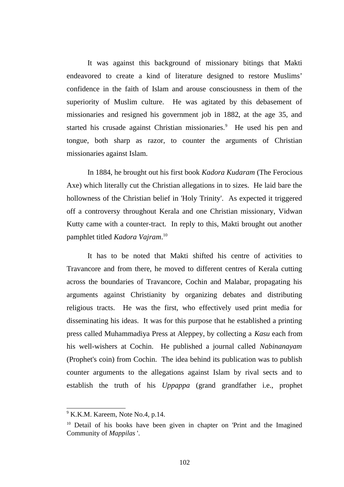It was against this background of missionary bitings that Makti endeavored to create a kind of literature designed to restore Muslims' confidence in the faith of Islam and arouse consciousness in them of the superiority of Muslim culture. He was agitated by this debasement of missionaries and resigned his government job in 1882, at the age 35, and started his crusade against Christian missionaries.<sup>[9](#page--1-5)</sup> He used his pen and tongue, both sharp as razor, to counter the arguments of Christian missionaries against Islam.

In 1884, he brought out his first book *Kadora Kudaram* (The Ferocious Axe) which literally cut the Christian allegations in to sizes. He laid bare the hollowness of the Christian belief in 'Holy Trinity'. As expected it triggered off a controversy throughout Kerala and one Christian missionary, Vidwan Kutty came with a counter-tract. In reply to this, Makti brought out another pamphlet titled *Kadora Vajram*. [10](#page--1-7)

It has to be noted that Makti shifted his centre of activities to Travancore and from there, he moved to different centres of Kerala cutting across the boundaries of Travancore, Cochin and Malabar, propagating his arguments against Christianity by organizing debates and distributing religious tracts. He was the first, who effectively used print media for disseminating his ideas. It was for this purpose that he established a printing press called Muhammadiya Press at Aleppey, by collecting a *Kasu* each from his well-wishers at Cochin. He published a journal called *Nabinanayam* (Prophet's coin) from Cochin. The idea behind its publication was to publish counter arguments to the allegations against Islam by rival sects and to establish the truth of his *Uppappa* (grand grandfather i.e., prophet

<sup>9</sup> K.K.M. Kareem, Note No.4*,* p.14.

 $10$  Detail of his books have been given in chapter on 'Print and the Imagined Community of *Mappilas* '.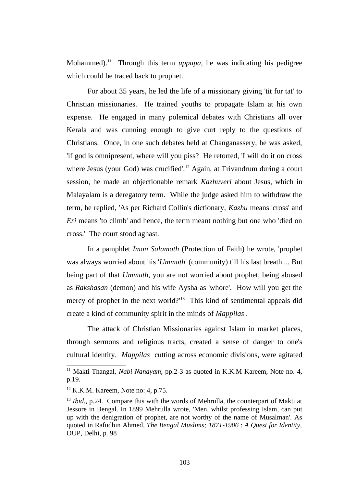Mohammed).<sup>[11](#page--1-8)</sup> Through this term *uppapa*, he was indicating his pedigree which could be traced back to prophet.

For about 35 years, he led the life of a missionary giving 'tit for tat' to Christian missionaries. He trained youths to propagate Islam at his own expense. He engaged in many polemical debates with Christians all over Kerala and was cunning enough to give curt reply to the questions of Christians. Once, in one such debates held at Changanassery, he was asked, 'if god is omnipresent, where will you piss? He retorted, 'I will do it on cross where Jesus (your God) was crucified'.<sup>[12](#page--1-9)</sup> Again, at Trivandrum during a court session, he made an objectionable remark *Kazhuveri* about Jesus, which in Malayalam is a deregatory term. While the judge asked him to withdraw the term, he replied, 'As per Richard Collin's dictionary, *Kazhu* means 'cross' and *Eri* means 'to climb' and hence, the term meant nothing but one who 'died on cross.' The court stood aghast.

In a pamphlet *Iman Salamath* (Protection of Faith) he wrote, 'prophet was always worried about his '*Ummath*' (community) till his last breath.... But being part of that *Ummath*, you are not worried about prophet, being abused as *Rakshasan* (demon) and his wife Aysha as 'whore'. How will you get the mercy of prophet in the next world?<sup>[13](#page--1-10)</sup> This kind of sentimental appeals did create a kind of community spirit in the minds of *Mappilas* .

The attack of Christian Missionaries against Islam in market places, through sermons and religious tracts, created a sense of danger to one's cultural identity. *Mappilas* cutting across economic divisions, were agitated

<sup>&</sup>lt;sup>11</sup> Makti Thangal, *Nabi Nanayam*, pp.2-3 as quoted in K.K.M Kareem, Note no. 4, p.19.

 $12$  K.K.M. Kareem, Note no: 4, p.75.

<sup>13</sup> *Ibid.,* p.24. Compare this with the words of Mehrulla, the counterpart of Makti at Jessore in Bengal. In 1899 Mehrulla wrote, 'Men, whilst professing Islam, can put up with the denigration of prophet, are not worthy of the name of Musalman'. As quoted in Rafudhin Ahmed, *The Bengal Muslims; 1871-1906* : *A Quest for Identity,* OUP, Delhi, p. 98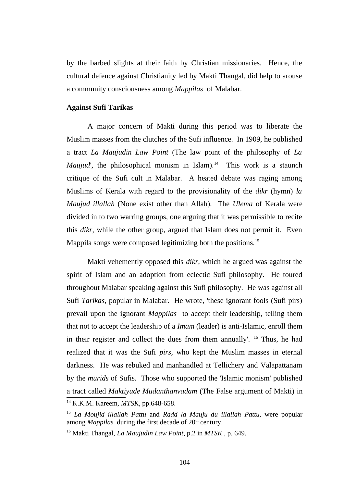by the barbed slights at their faith by Christian missionaries. Hence, the cultural defence against Christianity led by Makti Thangal, did help to arouse a community consciousness among *Mappilas* of Malabar.

#### **Against Sufi Tarikas**

A major concern of Makti during this period was to liberate the Muslim masses from the clutches of the Sufi influence. In 1909, he published a tract *La Maujudin Law Point* (The law point of the philosophy of *La Maujud*', the philosophical monism in Islam).<sup>[14](#page--1-11)</sup> This work is a staunch critique of the Sufi cult in Malabar. A heated debate was raging among Muslims of Kerala with regard to the provisionality of the *dikr* (hymn) *la Maujud illallah* (None exist other than Allah). The *Ulema* of Kerala were divided in to two warring groups, one arguing that it was permissible to recite this *dikr,* while the other group, argued that Islam does not permit it. Even Mappila songs were composed legitimizing both the positions.<sup>[15](#page--1-12)</sup>

Makti vehemently opposed this *dikr,* which he argued was against the spirit of Islam and an adoption from eclectic Sufi philosophy. He toured throughout Malabar speaking against this Sufi philosophy. He was against all Sufi *Tarikas,* popular in Malabar. He wrote, 'these ignorant fools (Sufi pirs) prevail upon the ignorant *Mappilas* to accept their leadership, telling them that not to accept the leadership of a *Imam* (leader) is anti-Islamic, enroll them in their register and collect the dues from them annually'.  $16$  Thus, he had realized that it was the Sufi *pirs,* who kept the Muslim masses in eternal darkness. He was rebuked and manhandled at Tellichery and Valapattanam by the *murids* of Sufis. Those who supported the 'Islamic monism' published a tract called *Maktiyude Mudanthanvadam* (The False argument of Makti) in <sup>14</sup> K.K.M. Kareem, *MTSK*, pp.648-658.

<sup>15</sup> *La Moujid illallah Pattu* and *Radd la Mauju du illallah Pattu,* were popular among *Mappilas* during the first decade of 20<sup>th</sup> century.

<sup>16</sup> Makti Thangal, *La Maujudin Law Point*, p.2 in *MTSK* , p. 649.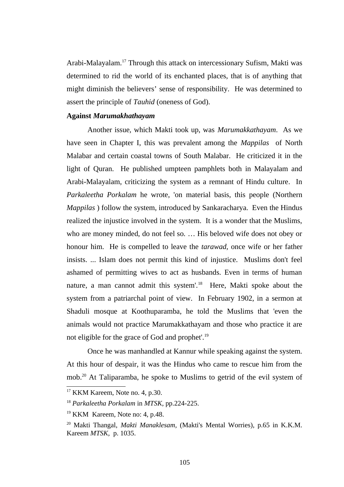Arabi-Malayalam.[17](#page--1-14) Through this attack on intercessionary Sufism, Makti was determined to rid the world of its enchanted places, that is of anything that might diminish the believers' sense of responsibility. He was determined to assert the principle of *Tauhid* (oneness of God).

#### **Against** *Marumakhathayam*

Another issue, which Makti took up, was *Marumakkathayam*. As we have seen in Chapter I, this was prevalent among the *Mappilas* of North Malabar and certain coastal towns of South Malabar. He criticized it in the light of Quran. He published umpteen pamphlets both in Malayalam and Arabi-Malayalam, criticizing the system as a remnant of Hindu culture. In *Parkaleetha Porkalam* he wrote, 'on material basis, this people (Northern *Mappilas* ) follow the system, introduced by Sankaracharya. Even the Hindus realized the injustice involved in the system. It is a wonder that the Muslims, who are money minded, do not feel so. … His beloved wife does not obey or honour him. He is compelled to leave the *tarawad,* once wife or her father insists. ... Islam does not permit this kind of injustice. Muslims don't feel ashamed of permitting wives to act as husbands. Even in terms of human nature, a man cannot admit this system'.<sup>[18](#page--1-11)</sup> Here, Makti spoke about the system from a patriarchal point of view. In February 1902, in a sermon at Shaduli mosque at Koothuparamba, he told the Muslims that 'even the animals would not practice Marumakkathayam and those who practice it are not eligible for the grace of God and prophet'.[19](#page--1-12)

Once he was manhandled at Kannur while speaking against the system. At this hour of despair, it was the Hindus who came to rescue him from the mob.[20](#page--1-7) At Taliparamba, he spoke to Muslims to getrid of the evil system of

<sup>17</sup> KKM Kareem, Note no. 4*,* p.30.

<sup>18</sup> *Parkaleetha Porkalam* in *MTSK,* pp.224-225.

<sup>&</sup>lt;sup>19</sup> KKM Kareem, Note no: 4, p.48.

<sup>20</sup> Makti Thangal, *Makti Manaklesam,* (Makti's Mental Worries), p.65 in K.K.M. Kareem *MTSK,* p. 1035.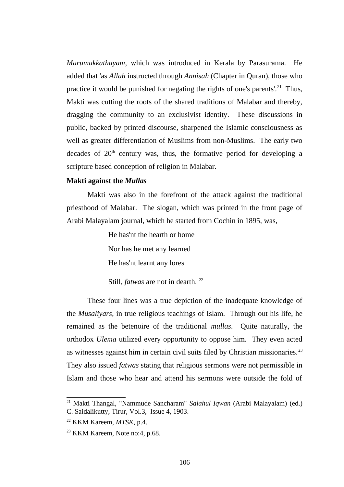*Marumakkathayam*, which was introduced in Kerala by Parasurama. He added that 'as *Allah* instructed through *Annisah* (Chapter in Quran), those who practice it would be punished for negating the rights of one's parents'.<sup>[21](#page--1-11)</sup> Thus, Makti was cutting the roots of the shared traditions of Malabar and thereby, dragging the community to an exclusivist identity. These discussions in public, backed by printed discourse, sharpened the Islamic consciousness as well as greater differentiation of Muslims from non-Muslims. The early two decades of  $20<sup>th</sup>$  century was, thus, the formative period for developing a scripture based conception of religion in Malabar.

#### **Makti against the** *Mullas*

Makti was also in the forefront of the attack against the traditional priesthood of Malabar. The slogan, which was printed in the front page of Arabi Malayalam journal, which he started from Cochin in 1895, was,

> He has'nt the hearth or home Nor has he met any learned He has'nt learnt any lores

Still, *fatwas* are not in dearth.<sup>[22](#page--1-15)</sup>

These four lines was a true depiction of the inadequate knowledge of the *Musaliyars,* in true religious teachings of Islam. Through out his life, he remained as the betenoire of the traditional *mullas*. Quite naturally, the orthodox *Ulema* utilized every opportunity to oppose him. They even acted as witnesses against him in certain civil suits filed by Christian missionaries.<sup>[23](#page--1-13)</sup> They also issued *fatwas* stating that religious sermons were not permissible in Islam and those who hear and attend his sermons were outside the fold of

<sup>21</sup> Makti Thangal, "Nammude Sancharam" *Salahul Iqwan* (Arabi Malayalam) (ed.) C. Saidalikutty, Tirur, Vol.3, Issue 4, 1903.

<sup>22</sup> KKM Kareem, *MTSK*, p.4.

<sup>&</sup>lt;sup>23</sup> KKM Kareem, Note no:4, p.68.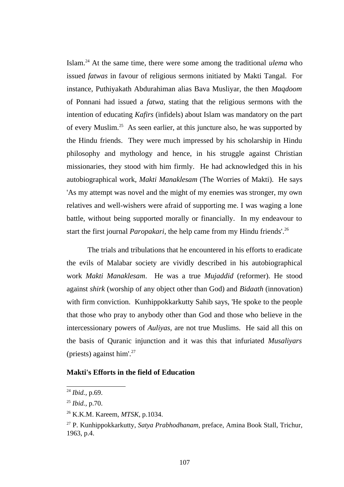Islam.[24](#page--1-14) At the same time, there were some among the traditional *ulema* who issued *fatwas* in favour of religious sermons initiated by Makti Tangal. For instance, Puthiyakath Abdurahiman alias Bava Musliyar, the then *Maqdoom* of Ponnani had issued a *fatwa,* stating that the religious sermons with the intention of educating *Kafirs* (infidels) about Islam was mandatory on the part of every Muslim.[25](#page--1-11) As seen earlier, at this juncture also, he was supported by the Hindu friends. They were much impressed by his scholarship in Hindu philosophy and mythology and hence, in his struggle against Christian missionaries, they stood with him firmly. He had acknowledged this in his autobiographical work, *Makti Manaklesam* (The Worries of Makti). He says 'As my attempt was novel and the might of my enemies was stronger, my own relatives and well-wishers were afraid of supporting me. I was waging a lone battle, without being supported morally or financially. In my endeavour to start the first journal *Paropakari*, the help came from my Hindu friends'.<sup>[26](#page--1-12)</sup>

The trials and tribulations that he encountered in his efforts to eradicate the evils of Malabar society are vividly described in his autobiographical work *Makti Manaklesam*. He was a true *Mujaddid* (reformer). He stood against *shirk* (worship of any object other than God) and *Bidaath* (innovation) with firm conviction. Kunhippokkarkutty Sahib says, 'He spoke to the people that those who pray to anybody other than God and those who believe in the intercessionary powers of *Auliyas,* are not true Muslims. He said all this on the basis of Quranic injunction and it was this that infuriated *Musaliyars* (priests) against  $\text{him}^{\prime}$ .<sup>[27](#page--1-7)</sup>

#### **Makti's Efforts in the field of Education**

<sup>24</sup> *Ibid.,* p.69.

<sup>25</sup> *Ibid.,* p.70.

<sup>26</sup> K.K.M. Kareem, *MTSK*, p.1034.

<sup>27</sup> P. Kunhippokkarkutty, *Satya Prabhodhanam,* preface, Amina Book Stall, Trichur, 1963, p.4.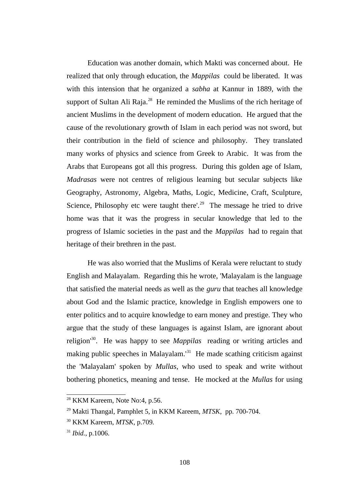Education was another domain, which Makti was concerned about. He realized that only through education, the *Mappilas* could be liberated. It was with this intension that he organized a *sabha* at Kannur in 1889, with the support of Sultan Ali Raja. $^{28}$  $^{28}$  $^{28}$  He reminded the Muslims of the rich heritage of ancient Muslims in the development of modern education. He argued that the cause of the revolutionary growth of Islam in each period was not sword, but their contribution in the field of science and philosophy. They translated many works of physics and science from Greek to Arabic. It was from the Arabs that Europeans got all this progress. During this golden age of Islam, *Madrasas* were not centres of religious learning but secular subjects like Geography, Astronomy, Algebra, Maths, Logic, Medicine, Craft, Sculpture, Science, Philosophy etc were taught there'.<sup>[29](#page--1-17)</sup> The message he tried to drive home was that it was the progress in secular knowledge that led to the progress of Islamic societies in the past and the *Mappilas* had to regain that heritage of their brethren in the past.

He was also worried that the Muslims of Kerala were reluctant to study English and Malayalam. Regarding this he wrote, 'Malayalam is the language that satisfied the material needs as well as the *guru* that teaches all knowledge about God and the Islamic practice, knowledge in English empowers one to enter politics and to acquire knowledge to earn money and prestige. They who argue that the study of these languages is against Islam, are ignorant about religion'[30](#page--1-15). He was happy to see *Mappilas* reading or writing articles and making public speeches in Malayalam.<sup>[31](#page--1-13)</sup> He made scathing criticism against the 'Malayalam' spoken by *Mullas*, who used to speak and write without bothering phonetics, meaning and tense. He mocked at the *Mullas* for using

 $28$  KKM Kareem, Note No:4, p.56.

<sup>29</sup> Makti Thangal, Pamphlet 5, in KKM Kareem, *MTSK*, pp. 700-704.

<sup>30</sup> KKM Kareem, *MTSK,* p.709*.*

<sup>31</sup> *Ibid.*, p.1006.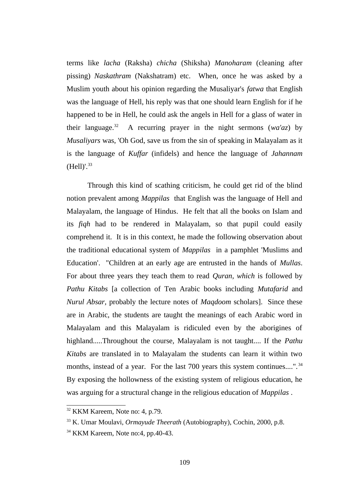terms like *lacha* (Raksha) *chicha* (Shiksha) *Manoharam* (cleaning after pissing) *Naskathram* (Nakshatram) etc. When, once he was asked by a Muslim youth about his opinion regarding the Musaliyar's *fatwa* that English was the language of Hell, his reply was that one should learn English for if he happened to be in Hell, he could ask the angels in Hell for a glass of water in their language.<sup>[32](#page--1-17)</sup> A recurring prayer in the night sermons ( $w\alpha'\alpha z$ ) by *Musaliyars* was, 'Oh God, save us from the sin of speaking in Malayalam as it is the language of *Kuffar* (infidels) and hence the language of *Jahannam*  $(Hell)$ '.  $33$ 

Through this kind of scathing criticism, he could get rid of the blind notion prevalent among *Mappilas* that English was the language of Hell and Malayalam, the language of Hindus. He felt that all the books on Islam and its *fiqh* had to be rendered in Malayalam, so that pupil could easily comprehend it. It is in this context, he made the following observation about the traditional educational system of *Mappilas* in a pamphlet 'Muslims and Education'. "Children at an early age are entrusted in the hands of *Mullas*. For about three years they teach them to read *Quran, which* is followed by *Pathu Kitabs* [a collection of Ten Arabic books including *Mutafarid* and *Nurul Absar,* probably the lecture notes of *Maqdoom* scholars]. Since these are in Arabic, the students are taught the meanings of each Arabic word in Malayalam and this Malayalam is ridiculed even by the aborigines of highland.....Throughout the course, Malayalam is not taught.... If the *Pathu Kitabs* are translated in to Malayalam the students can learn it within two months, instead of a year. For the last 700 years this system continues....".<sup>[34](#page--1-13)</sup> By exposing the hollowness of the existing system of religious education, he was arguing for a structural change in the religious education of *Mappilas* .

 $32$  KKM Kareem, Note no: 4, p.79.

<sup>33</sup> K. Umar Moulavi, *Ormayude Theerath* (Autobiography), Cochin, 2000, p.8.

<sup>&</sup>lt;sup>34</sup> KKM Kareem, Note no: 4, pp. 40-43.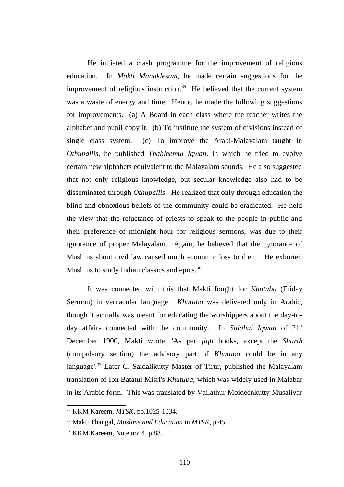He initiated a crash programme for the improvement of religious education. In *Makti Manaklesam*, he made certain suggestions for the improvement of religious instruction. $35$  He believed that the current system was a waste of energy and time. Hence, he made the following suggestions for improvements. (a) A Board in each class where the teacher writes the alphabet and pupil copy it. (b) To institute the system of divisions instead of single class system. (c) To improve the Arabi-Malayalam taught in *Othupallis*, he published *Thahleemul Iqwan,* in which he tried to evolve certain new alphabets equivalent to the Malayalam sounds. He also suggested that not only religious knowledge, but secular knowledge also had to be disseminated through *Othupallis*. He realized that only through education the blind and obnoxious beliefs of the community could be eradicated. He held the view that the reluctance of priests to speak to the people in public and their preference of midnight hour for religious sermons, was due to their ignorance of proper Malayalam. Again, he believed that the ignorance of Muslims about civil law caused much economic loss to them. He exhorted Muslims to study Indian classics and epics.<sup>[36](#page--1-15)</sup>

It was connected with this that Makti fought for *Khutuba* (Friday Sermon) in vernacular language. *Khutuba* was delivered only in Arabic, though it actually was meant for educating the worshippers about the day-today affairs connected with the community. In *Salahul Iqwan* of 21st December 1900, Makti wrote, 'As per *fiqh* books, except the *Sharth* (compulsory section) the advisory part of *Khutuba* could be in any language'.[37](#page--1-13) Later C. Saidalikutty Master of Tirur, published the Malayalam translation of Ibn Batatul Misri's *Khutuba*, which was widely used in Malabar in its Arabic form. This was translated by Vailathur Moideenkutty Musaliyar

<sup>35</sup> KKM Kareem, *MTSK*, pp.1025-1034.

<sup>36</sup> Makti Thangal, *Muslims and Education* in *MTSK*, p.45.

<sup>&</sup>lt;sup>37</sup> KKM Kareem, Note no: 4, p.83.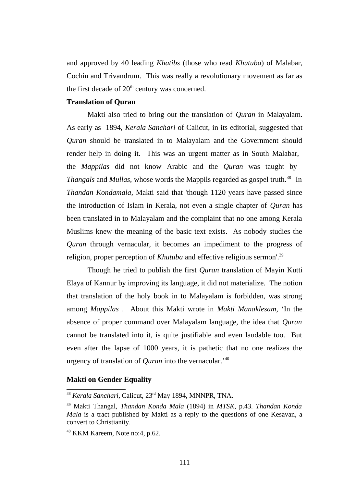and approved by 40 leading *Khatibs* (those who read *Khutuba*) of Malabar, Cochin and Trivandrum. This was really a revolutionary movement as far as the first decade of  $20<sup>th</sup>$  century was concerned.

#### **Translation of Quran**

Makti also tried to bring out the translation of *Quran* in Malayalam. As early as 1894, *Kerala Sanchari* of Calicut, in its editorial, suggested that *Quran* should be translated in to Malayalam and the Government should render help in doing it. This was an urgent matter as in South Malabar, the *Mappilas* did not know Arabic and the *Quran* was taught by *Thangals* and *Mullas*, whose words the Mappils regarded as gospel truth.<sup>[38](#page--1-18)</sup> In *Thandan Kondamala*, Makti said that 'though 1120 years have passed since the introduction of Islam in Kerala, not even a single chapter of *Quran* has been translated in to Malayalam and the complaint that no one among Kerala Muslims knew the meaning of the basic text exists. As nobody studies the *Quran* through vernacular, it becomes an impediment to the progress of religion, proper perception of *Khutuba* and effective religious sermon'.<sup>[39](#page--1-19)</sup>

Though he tried to publish the first *Quran* translation of Mayin Kutti Elaya of Kannur by improving its language, it did not materialize. The notion that translation of the holy book in to Malayalam is forbidden, was strong among *Mappilas* . About this Makti wrote in *Makti Manaklesam*, 'In the absence of proper command over Malayalam language, the idea that *Quran* cannot be translated into it, is quite justifiable and even laudable too. But even after the lapse of 1000 years, it is pathetic that no one realizes the urgency of translation of *Quran* into the vernacular.'[40](#page--1-13)

#### **Makti on Gender Equality**

<sup>38</sup> *Kerala Sanchari*, Calicut, 23rd May 1894, MNNPR, TNA.

<sup>39</sup> Makti Thangal, *Thandan Konda Mala* (1894) in *MTSK*, p.43. *Thandan Konda Mala* is a tract published by Makti as a reply to the questions of one Kesavan, a convert to Christianity.

<sup>40</sup> KKM Kareem, Note no:4, p.62.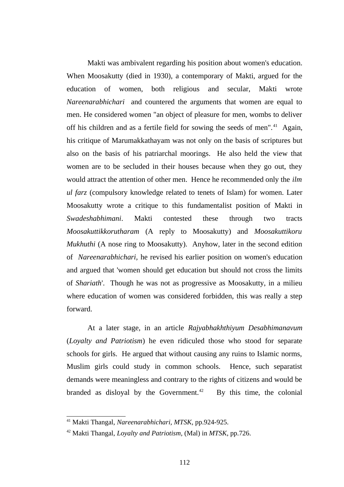Makti was ambivalent regarding his position about women's education. When Moosakutty (died in 1930), a contemporary of Makti, argued for the education of women, both religious and secular, Makti wrote *Nareenarabhichari* and countered the arguments that women are equal to men. He considered women "an object of pleasure for men, wombs to deliver off his children and as a fertile field for sowing the seeds of men".<sup>[41](#page--1-15)</sup> Again, his critique of Marumakkathayam was not only on the basis of scriptures but also on the basis of his patriarchal moorings. He also held the view that women are to be secluded in their houses because when they go out, they would attract the attention of other men. Hence he recommended only the *ilm ul farz* (compulsory knowledge related to tenets of Islam) for women. Later Moosakutty wrote a critique to this fundamentalist position of Makti in *Swadeshabhimani*. Makti contested these through two tracts *Moosakuttikkorutharam* (A reply to Moosakutty) and *Moosakuttikoru Mukhuthi* (A nose ring to Moosakutty). Anyhow, later in the second edition of *Nareenarabhichari,* he revised his earlier position on women's education and argued that 'women should get education but should not cross the limits of *Shariath*'. Though he was not as progressive as Moosakutty, in a milieu where education of women was considered forbidden, this was really a step forward.

At a later stage, in an article *Rajyabhakhthiyum Desabhimanavum* (*Loyalty and Patriotism*) he even ridiculed those who stood for separate schools for girls. He argued that without causing any ruins to Islamic norms, Muslim girls could study in common schools. Hence, such separatist demands were meaningless and contrary to the rights of citizens and would be branded as disloyal by the Government.<sup>[42](#page--1-13)</sup> By this time, the colonial

<sup>41</sup> Makti Thangal, *Nareenarabhichari, MTSK*, pp.924-925.

<sup>42</sup> Makti Thangal, *Loyalty and Patriotism,* (Mal) in *MTSK*, pp.726.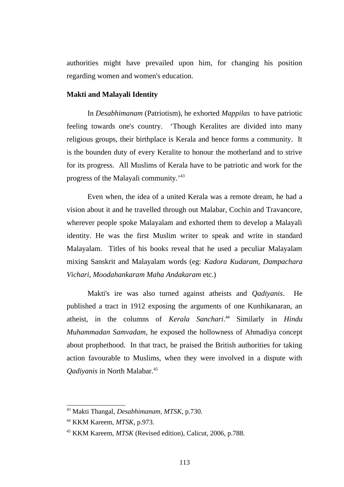authorities might have prevailed upon him, for changing his position regarding women and women's education.

#### **Makti and Malayali Identity**

In *Desabhimanam* (Patriotism), he exhorted *Mappilas* to have patriotic feeling towards one's country. 'Though Keralites are divided into many religious groups, their birthplace is Kerala and hence forms a community. It is the bounden duty of every Keralite to honour the motherland and to strive for its progress. All Muslims of Kerala have to be patriotic and work for the progress of the Malayali community.'[43](#page--1-17)

Even when, the idea of a united Kerala was a remote dream, he had a vision about it and he travelled through out Malabar, Cochin and Travancore, wherever people spoke Malayalam and exhorted them to develop a Malayali identity. He was the first Muslim writer to speak and write in standard Malayalam. Titles of his books reveal that he used a peculiar Malayalam mixing Sanskrit and Malayalam words (eg: *Kadora Kudaram, Dampachara Vichari*, *Moodahankaram Maha Andakaram* etc.)

Makti's ire was also turned against atheists and *Qadiyanis*. He published a tract in 1912 exposing the arguments of one Kunhikanaran, an atheist, in the columns of *Kerala Sanchari*. [44](#page--1-15) Similarly in *Hindu Muhammadan Samvadam*, he exposed the hollowness of Ahmadiya concept about prophethood. In that tract, he praised the British authorities for taking action favourable to Muslims, when they were involved in a dispute with *Qadiyanis* in North Malabar.[45](#page--1-13)

<sup>43</sup> Makti Thangal, *Desabhimanam, MTSK*, p.730.

<sup>44</sup> KKM Kareem, *MTSK*, p.973.

<sup>45</sup> KKM Kareem, *MTSK* (Revised edition), Calicut, 2006, p.788.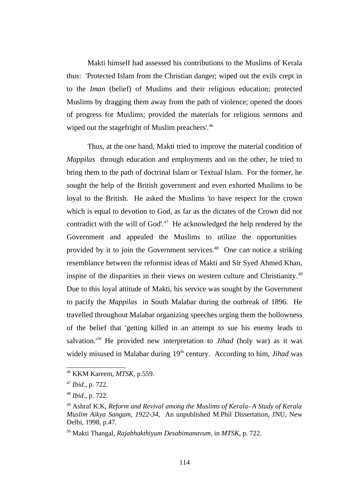Makti himself had assessed his contributions to the Muslims of Kerala thus: 'Protected Islam from the Christian danger; wiped out the evils crept in to the *Iman* (belief) of Muslims and their religious education; protected Muslims by dragging them away from the path of violence; opened the doors of progress for Muslims; provided the materials for religious sermons and wiped out the stagefright of Muslim preachers'.<sup>[46](#page--1-20)</sup>

Thus, at the one hand, Makti tried to improve the material condition of *Mappilas* through education and employments and on the other, he tried to bring them to the path of doctrinal Islam or Textual Islam. For the former, he sought the help of the British government and even exhorted Muslims to be loyal to the British. He asked the Muslims 'to have respect for the crown which is equal to devotion to God, as far as the dictates of the Crown did not contradict with the will of God'. $47$  He acknowledged the help rendered by the Government and appealed the Muslims to utilize the opportunities provided by it to join the Government services. $48$  One can notice a striking resemblance between the reformist ideas of Makti and Sir Syed Ahmed Khan, inspite of the disparities in their views on western culture and Christianity.<sup>[49](#page--1-19)</sup> Due to this loyal attitude of Makti, his service was sought by the Government to pacify the *Mappilas* in South Malabar during the outbreak of 1896. He travelled throughout Malabar organizing speeches urging them the hollowness of the belief that 'getting killed in an attempt to sue his enemy leads to salvation.'[50](#page--1-13) He provided new interpretation to *Jihad* (holy war) as it was widely misused in Malabar during 19<sup>th</sup> century. According to him, *Jihad* was

<sup>46</sup> KKM Kareem, *MTSK*, p.559.

<sup>47</sup> *Ibid.,* p. 722.

<sup>48</sup> *Ibid*., p. 722.

<sup>49</sup> Ashraf K.K, *Reform and Revival among the Muslims of Kerala- A Study of Kerala Muslim Aikya Sangam, 1922-34*, An unpublished M.Phil Dissertation, JNU, New Delhi, 1998, p.47.

<sup>50</sup> Makti Thangal, *Rajabhakthiyum Desabimanavum*, in *MTSK*, p. 722.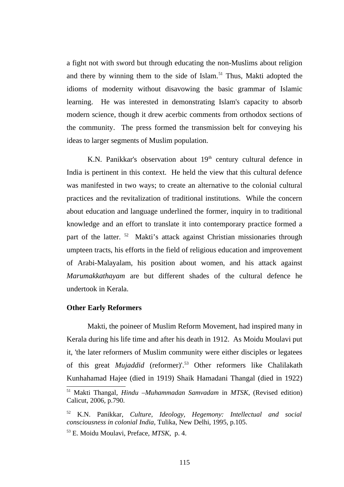a fight not with sword but through educating the non-Muslims about religion and there by winning them to the side of Islam.<sup>[51](#page--1-14)</sup> Thus, Makti adopted the idioms of modernity without disavowing the basic grammar of Islamic learning. He was interested in demonstrating Islam's capacity to absorb modern science, though it drew acerbic comments from orthodox sections of the community. The press formed the transmission belt for conveying his ideas to larger segments of Muslim population.

K.N. Panikkar's observation about  $19<sup>th</sup>$  century cultural defence in India is pertinent in this context. He held the view that this cultural defence was manifested in two ways; to create an alternative to the colonial cultural practices and the revitalization of traditional institutions. While the concern about education and language underlined the former, inquiry in to traditional knowledge and an effort to translate it into contemporary practice formed a part of the latter.<sup>[52](#page--1-12)</sup> Makti's attack against Christian missionaries through umpteen tracts, his efforts in the field of religious education and improvement of Arabi-Malayalam, his position about women, and his attack against *Marumakkathayam* are but different shades of the cultural defence he undertook in Kerala.

#### **Other Early Reformers**

Makti, the poineer of Muslim Reform Movement, had inspired many in Kerala during his life time and after his death in 1912. As Moidu Moulavi put it, 'the later reformers of Muslim community were either disciples or legatees of this great *Mujaddid* (reformer)'.[53](#page--1-13) Other reformers like Chalilakath Kunhahamad Hajee (died in 1919) Shaik Hamadani Thangal (died in 1922)

<sup>51</sup> Makti Thangal, *Hindu –Muhammadan Samvadam* in *MTSK*, (Revised edition) Calicut, 2006, p.790.

<sup>52</sup> K.N. Panikkar, *Culture, Ideology, Hegemony: Intellectual and social consciousness in colonial India*, Tulika, New Delhi, 1995, p.105.

<sup>53</sup> E. Moidu Moulavi, Preface, *MTSK*, p. 4.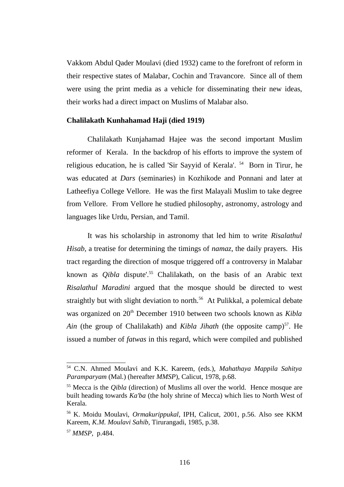Vakkom Abdul Qader Moulavi (died 1932) came to the forefront of reform in their respective states of Malabar, Cochin and Travancore. Since all of them were using the print media as a vehicle for disseminating their new ideas, their works had a direct impact on Muslims of Malabar also.

#### **Chalilakath Kunhahamad Haji (died 1919)**

Chalilakath Kunjahamad Hajee was the second important Muslim reformer of Kerala. In the backdrop of his efforts to improve the system of religious education, he is called 'Sir Sayyid of Kerala'. [54](#page--1-22) Born in Tirur, he was educated at *Dars* (seminaries) in Kozhikode and Ponnani and later at Latheefiya College Vellore. He was the first Malayali Muslim to take degree from Vellore. From Vellore he studied philosophy, astronomy, astrology and languages like Urdu, Persian, and Tamil.

It was his scholarship in astronomy that led him to write *Risalathul Hisab,* a treatise for determining the timings of *namaz*, the daily prayers. His tract regarding the direction of mosque triggered off a controversy in Malabar known as *Qibla* dispute'.[55](#page--1-23) Chalilakath, on the basis of an Arabic text *Risalathul Maradini* argued that the mosque should be directed to west straightly but with slight deviation to north.<sup>[56](#page--1-12)</sup> At Pulikkal, a polemical debate was organized on 20<sup>th</sup> December 1910 between two schools known as *Kibla* Ain (the group of Chalilakath) and *Kibla Jihath* (the opposite camp)<sup>[57](#page--1-13)</sup>. He issued a number of *fatwas* in this regard, which were compiled and published

<sup>54</sup> C.N. Ahmed Moulavi and K.K. Kareem, (eds.), *Mahathaya Mappila Sahitya Paramparyam* (Mal.) (hereafter *MMSP*), Calicut, 1978, p.68.

<sup>55</sup> Mecca is the *Qibla* (direction) of Muslims all over the world. Hence mosque are built heading towards *Ka'ba* (the holy shrine of Mecca) which lies to North West of Kerala.

<sup>56</sup> K. Moidu Moulavi, *Ormakurippukal*, IPH, Calicut, 2001*,* p.56. Also see KKM Kareem, *K.M. Moulavi Sahib,* Tirurangadi, 1985*,* p.38.

<sup>57</sup> *MMSP*, p.484.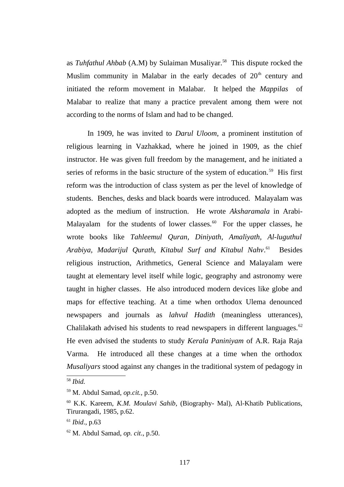as *Tuhfathul Ahbab* (A.M) by Sulaiman Musaliyar.[58](#page--1-24) This dispute rocked the Muslim community in Malabar in the early decades of  $20<sup>th</sup>$  century and initiated the reform movement in Malabar. It helped the *Mappilas* of Malabar to realize that many a practice prevalent among them were not according to the norms of Islam and had to be changed.

In 1909, he was invited to *Darul Uloom*, a prominent institution of religious learning in Vazhakkad, where he joined in 1909, as the chief instructor. He was given full freedom by the management, and he initiated a series of reforms in the basic structure of the system of education.<sup>[59](#page--1-14)</sup> His first reform was the introduction of class system as per the level of knowledge of students. Benches, desks and black boards were introduced. Malayalam was adopted as the medium of instruction. He wrote *Aksharamala* in Arabi-Malayalam for the students of lower classes. $60$  For the upper classes, he wrote books like *Tahleemul Quran, Diniyath, Amaliyath, Al-luguthul Arabiya, Madarijul Qurath, Kitabul Surf and Kitabul Nahv*. **Besides** religious instruction, Arithmetics, General Science and Malayalam were taught at elementary level itself while logic, geography and astronomy were taught in higher classes. He also introduced modern devices like globe and maps for effective teaching. At a time when orthodox Ulema denounced newspapers and journals as *lahvul Hadith* (meaningless utterances), Chalilakath advised his students to read newspapers in different languages.<sup>[62](#page--1-13)</sup> He even advised the students to study *Kerala Paniniyam* of A.R. Raja Raja Varma. He introduced all these changes at a time when the orthodox *Musaliyars* stood against any changes in the traditional system of pedagogy in

<sup>58</sup> *Ibid.*

<sup>59</sup> M. Abdul Samad, *op.cit.*, p.50.

<sup>60</sup> K.K. Kareem, *K.M. Moulavi Sahib*, (Biography- Mal), Al-Khatib Publications, Tirurangadi, 1985, p.62.

<sup>61</sup> *Ibid*., p.63

<sup>62</sup> M. Abdul Samad, *op. cit*., p.50.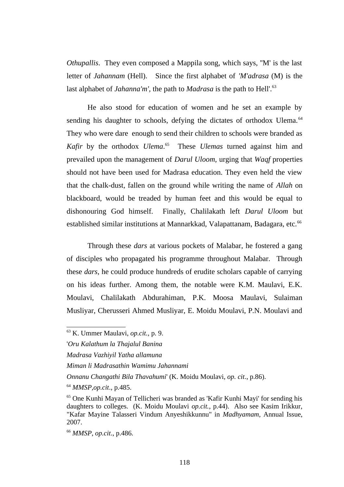*Othupallis*. They even composed a Mappila song, which says, ''M' is the last letter of *Jahannam* (Hell). Since the first alphabet of *'M'adrasa* (M) is the last alphabet of *Jahanna'm'*, the path to *Madrasa* is the path to Hell'.<sup>[63](#page--1-25)</sup>

He also stood for education of women and he set an example by sending his daughter to schools, defying the dictates of orthodox Ulema.<sup>[64](#page--1-23)</sup> They who were dare enough to send their children to schools were branded as *Kafir* by the orthodox *Ulema*. [65](#page--1-26) These *Ulemas* turned against him and prevailed upon the management of *Darul Uloom,* urging that *Waqf* properties should not have been used for Madrasa education. They even held the view that the chalk-dust, fallen on the ground while writing the name of *Allah* on blackboard, would be treaded by human feet and this would be equal to dishonouring God himself. Finally, Chalilakath left *Darul Uloom* but established similar institutions at Mannarkkad, Valapattanam, Badagara, etc.<sup>[66](#page--1-13)</sup>

Through these *dars* at various pockets of Malabar, he fostered a gang of disciples who propagated his programme throughout Malabar. Through these *dars,* he could produce hundreds of erudite scholars capable of carrying on his ideas further. Among them, the notable were K.M. Maulavi, E.K. Moulavi, Chalilakath Abdurahiman, P.K. Moosa Maulavi, Sulaiman Musliyar, Cherusseri Ahmed Musliyar, E. Moidu Moulavi, P.N. Moulavi and

<sup>63</sup> K. Ummer Maulavi, *op.cit.,* p. 9.

<sup>&#</sup>x27;*Oru Kalathum la Thajalul Banina*

*Madrasa Vazhiyil Yatha allamuna*

*Miman li Madrasathin Wamimu Jahannami*

*Onnanu Changathi Bila Thavahumi*' (K. Moidu Moulavi, *op. cit*., p.86).

<sup>64</sup> *MMSP*,*op.cit*., p.485.

<sup>&</sup>lt;sup>65</sup> One Kunhi Mayan of Tellicheri was branded as 'Kafir Kunhi Mayi' for sending his daughters to colleges. (K. Moidu Moulavi *op.cit.*, p.44). Also see Kasim Irikkur, "Kafar Mayine Talasseri Vindum Anyeshikkunnu" in *Madhyamam,* Annual Issue, 2007.

<sup>66</sup> *MMSP*, *op.cit*., p.486.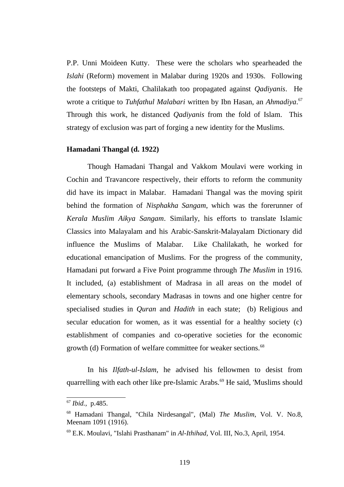P.P. Unni Moideen Kutty. These were the scholars who spearheaded the *Islahi* (Reform) movement in Malabar during 1920s and 1930s. Following the footsteps of Makti, Chalilakath too propagated against *Qadiyanis*. He wrote a critique to *Tuhfathul Malabari* written by Ibn Hasan, an *Ahmadiya*. [67](#page--1-11) Through this work, he distanced *Qadiyanis* from the fold of Islam. This strategy of exclusion was part of forging a new identity for the Muslims.

#### **Hamadani Thangal (d. 1922)**

Though Hamadani Thangal and Vakkom Moulavi were working in Cochin and Travancore respectively, their efforts to reform the community did have its impact in Malabar. Hamadani Thangal was the moving spirit behind the formation of *Nisphakha Sangam*, which was the forerunner of *Kerala Muslim Aikya Sangam*. Similarly, his efforts to translate Islamic Classics into Malayalam and his Arabic-Sanskrit-Malayalam Dictionary did influence the Muslims of Malabar. Like Chalilakath, he worked for educational emancipation of Muslims. For the progress of the community, Hamadani put forward a Five Point programme through *The Muslim* in 1916. It included, (a) establishment of Madrasa in all areas on the model of elementary schools, secondary Madrasas in towns and one higher centre for specialised studies in *Quran* and *Hadith* in each state; (b) Religious and secular education for women, as it was essential for a healthy society (c) establishment of companies and co-operative societies for the economic growth (d) Formation of welfare committee for weaker sections.<sup>[68](#page--1-12)</sup>

In his *Ilfath-ul-Islam*, he advised his fellowmen to desist from quarrelling with each other like pre-Islamic Arabs.<sup>[69](#page--1-13)</sup> He said, 'Muslims should

<sup>67</sup> *Ibid.,* p.485.

<sup>68</sup> Hamadani Thangal, "Chila Nirdesangal", (Mal) *The Muslim*, Vol. V. No.8, Meenam 1091 (1916).

<sup>69</sup> E.K. Moulavi, "Islahi Prasthanam" in *Al-Ithihad*, Vol. III, No.3, April, 1954.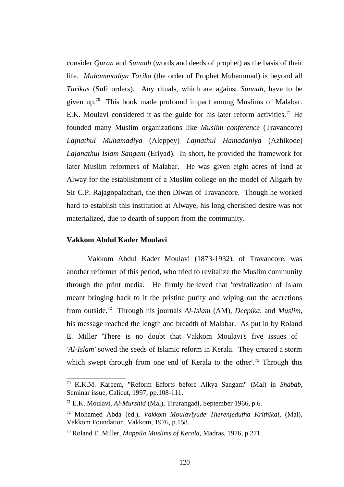consider *Quran* and *Sunnah* (words and deeds of prophet) as the basis of their life. *Muhammadiya Tarika* (the order of Prophet Muhammad) is beyond all *Tarikas* (Sufi orders). Any rituals, which are against *Sunnah*, have to be given up.<sup>[70](#page--1-21)</sup> This book made profound impact among Muslims of Malabar. E.K. Moulavi considered it as the guide for his later reform activities.<sup>[71](#page--1-11)</sup> He founded many Muslim organizations like *Muslim conference* (Travancore) *Lajnathul Muhamadiya* (Aleppey) *Lajnathul Hamadaniya* (Azhikode) *Lajanathul Islam Sangam* (Eriyad). In short, he provided the framework for later Muslim reformers of Malabar. He was given eight acres of land at Alway for the establishment of a Muslim college on the model of Aligarh by Sir C.P. Rajagopalachari, the then Diwan of Travancore. Though he worked hard to establish this institution at Alwaye, his long cherished desire was not materialized, due to dearth of support from the community.

#### **Vakkom Abdul Kader Moulavi**

Vakkom Abdul Kader Moulavi (1873-1932), of Travancore, was another reformer of this period, who tried to revitalize the Muslim community through the print media. He firmly believed that 'revitalization of Islam meant bringing back to it the pristine purity and wiping out the accretions from outside.[72](#page--1-12) Through his journals *Al-Islam* (AM), *Deepika*, and *Muslim*, his message reached the length and breadth of Malabar. As put in by Roland E. Miller 'There is no doubt that Vakkom Moulavi's five issues of *'Al-Islam'* sowed the seeds of Islamic reform in Kerala. They created a storm which swept through from one end of Kerala to the other'.<sup>[73](#page--1-13)</sup> Through this

<sup>70</sup> K.K.M. Kareem, "Reform Efforts before Aikya Sangam" (Mal) in *Shabab*, Seminar issue, Calicut, 1997, pp.108-111.

<sup>71</sup> E.K. Moulavi, *Al-Murshid* (Mal), Tirurangadi, September 1966, p.6.

<sup>72</sup> Mohamed Abda (ed.), *Vakkom Moulaviyude Therenjedutha Krithikal,* (Mal), Vakkom Foundation, Vakkom, 1976, p.158.

<sup>73</sup> Roland E. Miller, *Mappila Muslims of Kerala,* Madras, 1976, p.271.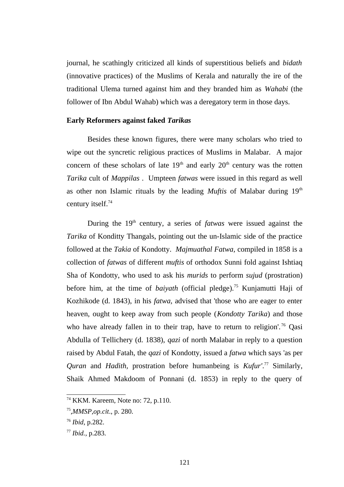journal, he scathingly criticized all kinds of superstitious beliefs and *bidath* (innovative practices) of the Muslims of Kerala and naturally the ire of the traditional Ulema turned against him and they branded him as *Wahabi* (the follower of Ibn Abdul Wahab) which was a deregatory term in those days.

#### **Early Reformers against faked** *Tarikas*

Besides these known figures, there were many scholars who tried to wipe out the syncretic religious practices of Muslims in Malabar. A major concern of these scholars of late  $19<sup>th</sup>$  and early  $20<sup>th</sup>$  century was the rotten *Tarika* cult of *Mappilas* . Umpteen *fatwas* were issued in this regard as well as other non Islamic rituals by the leading *Muftis* of Malabar during 19<sup>th</sup> century itself.<sup>[74](#page--1-16)</sup>

During the 19<sup>th</sup> century, a series of *fatwas* were issued against the *Tarika* of Konditty Thangals, pointing out the un-Islamic side of the practice followed at the *Takia* of Kondotty. *Majmuathal Fatwa,* compiled in 1858 is a collection of *fatwas* of different *muftis* of orthodox Sunni fold against Ishtiaq Sha of Kondotty, who used to ask his *murids* to perform *sujud* (prostration) before him, at the time of *baiyath* (official pledge).[75](#page--1-17) Kunjamutti Haji of Kozhikode (d. 1843), in his *fatwa,* advised that 'those who are eager to enter heaven, ought to keep away from such people (*Kondotty Tarika*) and those who have already fallen in to their trap, have to return to religion'.<sup>[76](#page--1-15)</sup> Qasi Abdulla of Tellichery (d. 1838), *qazi* of north Malabar in reply to a question raised by Abdul Fatah, the *qazi* of Kondotty, issued a *fatwa* which says 'as per *Quran* and *Hadith,* prostration before humanbeing is *Kufur'*. [77](#page--1-13) Similarly, Shaik Ahmed Makdoom of Ponnani (d. 1853) in reply to the query of

<sup>74</sup> KKM. Kareem, Note no: 72, p.110.

<sup>75</sup> ,*MMSP*,*op.cit*., p. 280.

<sup>76</sup> *Ibid*, p.282.

<sup>77</sup> *Ibid.,* p.283.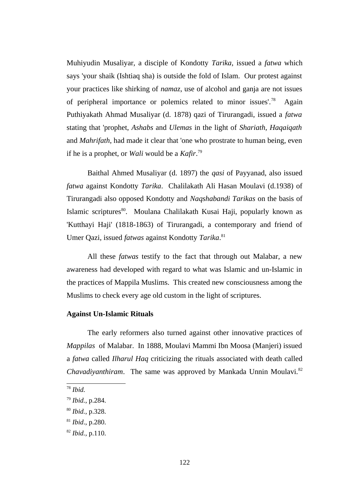Muhiyudin Musaliyar, a disciple of Kondotty *Tarika*, issued a *fatwa* which says 'your shaik (Ishtiaq sha) is outside the fold of Islam. Our protest against your practices like shirking of *namaz*, use of alcohol and ganja are not issues of peripheral importance or polemics related to minor issues'.[78](#page--1-27) Again Puthiyakath Ahmad Musaliyar (d. 1878) qazi of Tirurangadi, issued a *fatwa* stating that 'prophet, *Ashabs* and *Ulemas* in the light of *Shariath*, *Haqaiqath* and *Mahrifath*, had made it clear that 'one who prostrate to human being, even if he is a prophet, or *Wali* would be a *Kafir*. [79](#page--1-16)

Baithal Ahmed Musaliyar (d. 1897) the *qasi* of Payyanad, also issued *fatwa* against Kondotty *Tarika*. Chalilakath Ali Hasan Moulavi (d.1938) of Tirurangadi also opposed Kondotty and *Naqshabandi Tarikas* on the basis of Islamic scriptures<sup>[80](#page--1-17)</sup>. Moulana Chalilakath Kusai Haji, popularly known as 'Kutthayi Haji' (1818-1863) of Tirurangadi, a contemporary and friend of Umer Qazi, issued *fatwas* against Kondotty *Tarika*. [81](#page--1-15)

All these *fatwas* testify to the fact that through out Malabar, a new awareness had developed with regard to what was Islamic and un-Islamic in the practices of Mappila Muslims. This created new consciousness among the Muslims to check every age old custom in the light of scriptures.

#### **Against Un-Islamic Rituals**

The early reformers also turned against other innovative practices of *Mappilas* of Malabar. In 1888, Moulavi Mammi Ibn Moosa (Manjeri) issued a *fatwa* called *Ilharul Haq* criticizing the rituals associated with death called *Chavadiyanthiram*. The same was approved by Mankada Unnin Moulavi.<sup>[82](#page--1-13)</sup>

<sup>78</sup> *Ibid.*

<sup>79</sup> *Ibid.*, p.284.

<sup>80</sup> *Ibid.*, p.328.

<sup>81</sup> *Ibid*., p.280.

<sup>82</sup> *Ibid.,* p.110.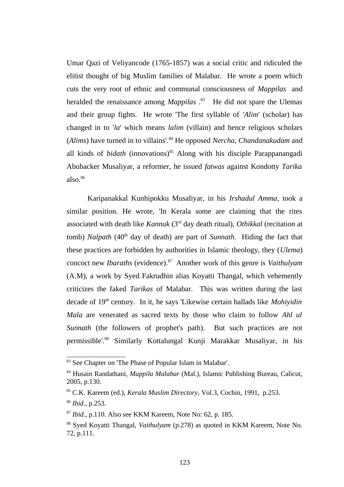Umar Qazi of Veliyancode (1765-1857) was a social critic and ridiculed the elitist thought of big Muslim families of Malabar. He wrote a poem which cuts the very root of ethnic and communal consciousness of *Mappilas* and heralded the renaissance among *Mappilas* . [83](#page--1-28) He did not spare the Ulemas and their group fights. He wrote 'The first syllable of *'Alim*' (scholar) has changed in to '*la*' which means *lalim* (villain) and hence religious scholars (*Alims*) have turned in to villains'.[84](#page--1-20) He opposed *Nercha, Chandanakudam* and all kinds of *bidath* (innovations)<sup>[85](#page--1-14)</sup> Along with his disciple Parappanangadi Abubacker Musaliyar, a reformer, he issued *fatwas* against Kondotty *Tarika* also. $86$ 

Karipanakkal Kunhipokku Musaliyar, in his *Irshadul Amma,* took a similar position. He wrote, 'In Kerala some are claiming that the rites associated with death like *Kannuk* (3rd day death ritual), *Othikkal* (recitation at tomb) *Nalpath* (40<sup>th</sup> day of death) are part of *Sunnath*. Hiding the fact that these practices are forbidden by authorities in Islamic theology, they (*Ulema*) concoct new *Ibaraths* (evidence).[87](#page--1-12) Another work of this genre is *Vaithulyam* (A.M), a work by Syed Fakrudhin alias Koyatti Thangal, which vehemently criticizes the faked *Tarikas* of Malabar. This was written during the last decade of 19<sup>th</sup> century. In it, he says 'Likewise certain ballads like *Mohiyidin Mala* are venerated as sacred texts by those who claim to follow *Ahl ul Sunnath* (the followers of prophet's path). But such practices are not permissible'.[88](#page--1-7) Similarly Kottalungal Kunji Marakkar Musaliyar, in his

<sup>&</sup>lt;sup>83</sup> See Chapter on 'The Phase of Popular Islam in Malabar'.

<sup>84</sup> Husain Randathani, *Mappila Malabar* (Mal.), Islamic Publishing Bureau, Calicut, 2005, p.130.

<sup>85</sup> C.K. Kareem (ed.), *Kerala Muslim Directory*, Vol.3, Cochin, 1991, p.253.

<sup>86</sup> *Ibid*., p.253.

<sup>87</sup> *Ibid.,* p.110. Also see KKM Kareem, Note No: 62, p. 185.

<sup>88</sup> Syed Koyatti Thangal, *Vaithulyam* (p.278) as quoted in KKM Kareem, Note No. 72, p.111.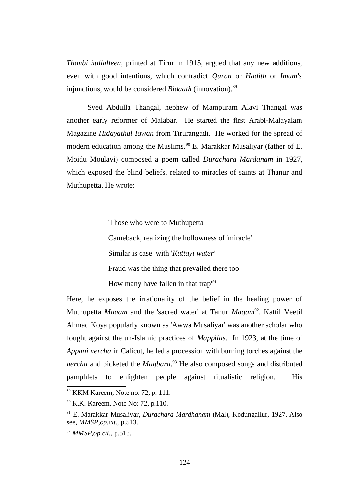*Thanbi hullalleen,* printed at Tirur in 1915, argued that any new additions, even with good intentions, which contradict *Quran* or *Hadith* or *Imam's* injunctions, would be considered *Bidaath* (innovation).<sup>[89](#page--1-14)</sup>

Syed Abdulla Thangal, nephew of Mampuram Alavi Thangal was another early reformer of Malabar. He started the first Arabi-Malayalam Magazine *Hidayathul Iqwan* from Tirurangadi. He worked for the spread of modern education among the Muslims.<sup>[90](#page--1-11)</sup> E. Marakkar Musaliyar (father of E. Moidu Moulavi) composed a poem called *Durachara Mardanam* in 1927, which exposed the blind beliefs, related to miracles of saints at Thanur and Muthupetta. He wrote:

> 'Those who were to Muthupetta Cameback, realizing the hollowness of 'miracle' Similar is case with '*Kuttayi water'*  Fraud was the thing that prevailed there too How many have fallen in that trap $191$  $191$

Here, he exposes the irrationality of the belief in the healing power of Muthupetta *Maqam* and the 'sacred water' at Tanur *Maqam*[92](#page--1-13). Kattil Veetil Ahmad Koya popularly known as 'Awwa Musaliyar' was another scholar who fought against the un-Islamic practices of *Mappilas.* In 1923, at the time of *Appani nercha* in Calicut, he led a procession with burning torches against the *nercha* and picketed the *Maqbara*. [93](#page--1-24) He also composed songs and distributed pamphlets to enlighten people against ritualistic religion. His

<sup>89</sup> KKM Kareem, Note no. 72, p. 111.

<sup>&</sup>lt;sup>90</sup> K.K. Kareem, Note No: 72, p.110.

<sup>91</sup> E. Marakkar Musaliyar, *Durachara Mardhanam* (Mal), Kodungallur, 1927. Also see, *MMSP*,*op.cit.,* p.513.

<sup>92</sup> *MMSP,op.cit.,* p.513.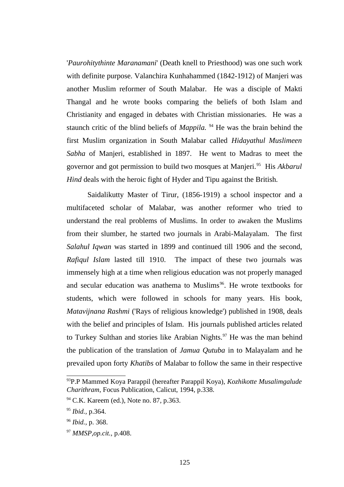'*Paurohitythinte Maranamani*' (Death knell to Priesthood) was one such work with definite purpose. Valanchira Kunhahammed (1842-1912) of Manjeri was another Muslim reformer of South Malabar. He was a disciple of Makti Thangal and he wrote books comparing the beliefs of both Islam and Christianity and engaged in debates with Christian missionaries. He was a staunch critic of the blind beliefs of *Mappila.* [94](#page--1-16) He was the brain behind the first Muslim organization in South Malabar called *Hidayathul Muslimeen Sabha* of Manjeri, established in 1897. He went to Madras to meet the governor and got permission to build two mosques at Manjeri.[95](#page--1-17) His *Akbarul Hind* deals with the heroic fight of Hyder and Tipu against the British.

Saidalikutty Master of Tirur, (1856-1919) a school inspector and a multifaceted scholar of Malabar, was another reformer who tried to understand the real problems of Muslims. In order to awaken the Muslims from their slumber, he started two journals in Arabi-Malayalam. The first *Salahul Iqwan* was started in 1899 and continued till 1906 and the second, *Rafiqul Islam* lasted till 1910. The impact of these two journals was immensely high at a time when religious education was not properly managed and secular education was anathema to Muslims $96$ . He wrote textbooks for students, which were followed in schools for many years. His book, *Matavijnana Rashmi* ('Rays of religious knowledge') published in 1908, deals with the belief and principles of Islam. His journals published articles related to Turkey Sulthan and stories like Arabian Nights. $97$  He was the man behind the publication of the translation of *Jamua Qutuba* in to Malayalam and he prevailed upon forty *Khatibs* of Malabar to follow the same in their respective

<sup>93</sup>P.P Mammed Koya Parappil (hereafter Parappil Koya), *Kozhikotte Musalimgalude Charithram*, Focus Publication, Calicut, 1994, p.338.

<sup>94</sup> C.K. Kareem (ed.), Note no. 87*,* p.363.

<sup>95</sup> *Ibid.,* p.364.

<sup>96</sup> *Ibid.,* p. 368.

<sup>97</sup> *MMSP,op.cit.,* p.408.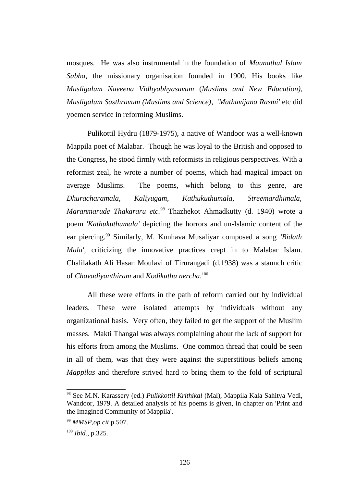mosques. He was also instrumental in the foundation of *Maunathul Islam Sabha*, the missionary organisation founded in 1900. His books like *Musligalum Naveena Vidhyabhyasavum* (*Muslims and New Education)*, *Musligalum Sasthravum (Muslims and Science)*, '*Mathavijana Rasmi'* etc did yoemen service in reforming Muslims.

Pulikottil Hydru (1879-1975), a native of Wandoor was a well-known Mappila poet of Malabar. Though he was loyal to the British and opposed to the Congress, he stood firmly with reformists in religious perspectives. With a reformist zeal, he wrote a number of poems, which had magical impact on average Muslims. The poems, which belong to this genre, are *Dhuracharamala, Kaliyugam, Kathukuthumala, Streemardhimala, Maranmarude Thakararu etc.[98](#page--1-18)* Thazhekot Ahmadkutty (d. 1940) wrote a poem *'Kathukuthumala'* depicting the horrors and un-Islamic content of the ear piercing.[99](#page--1-15) Similarly, M. Kunhava Musaliyar composed a song *'Bidath Mala',* criticizing the innovative practices crept in to Malabar Islam. Chalilakath Ali Hasan Moulavi of Tirurangadi (d.1938) was a staunch critic of *Chavadiyanthiram* and *Kodikuthu nercha*. [100](#page--1-29)

All these were efforts in the path of reform carried out by individual leaders. These were isolated attempts by individuals without any organizational basis. Very often, they failed to get the support of the Muslim masses. Makti Thangal was always complaining about the lack of support for his efforts from among the Muslims. One common thread that could be seen in all of them, was that they were against the superstitious beliefs among *Mappilas* and therefore strived hard to bring them to the fold of scriptural

<sup>98</sup> See M.N. Karassery (ed.) *Pulikkottil Krithikal* (Mal), Mappila Kala Sahitya Vedi, Wandoor, 1979. A detailed analysis of his poems is given, in chapter on 'Print and the Imagined Community of Mappila'.

<sup>99</sup> *MMSP*,*op.cit* p.507.

<sup>100</sup> *Ibid.,* p.325.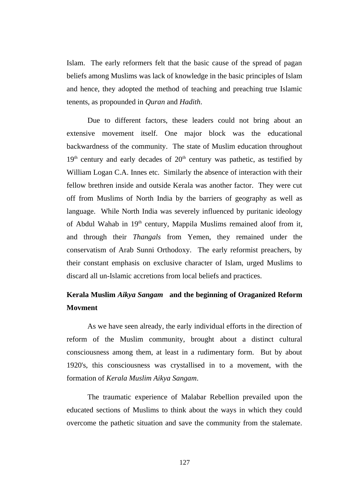Islam. The early reformers felt that the basic cause of the spread of pagan beliefs among Muslims was lack of knowledge in the basic principles of Islam and hence, they adopted the method of teaching and preaching true Islamic tenents, as propounded in *Quran* and *Hadith*.

Due to different factors, these leaders could not bring about an extensive movement itself. One major block was the educational backwardness of the community. The state of Muslim education throughout  $19<sup>th</sup>$  century and early decades of  $20<sup>th</sup>$  century was pathetic, as testified by William Logan C.A. Innes etc. Similarly the absence of interaction with their fellow brethren inside and outside Kerala was another factor. They were cut off from Muslims of North India by the barriers of geography as well as language. While North India was severely influenced by puritanic ideology of Abdul Wahab in  $19<sup>th</sup>$  century, Mappila Muslims remained aloof from it, and through their *Thangals* from Yemen, they remained under the conservatism of Arab Sunni Orthodoxy. The early reformist preachers, by their constant emphasis on exclusive character of Islam, urged Muslims to discard all un-Islamic accretions from local beliefs and practices.

### **Kerala Muslim** *Aikya Sangam* **and the beginning of Oraganized Reform Movment**

As we have seen already, the early individual efforts in the direction of reform of the Muslim community, brought about a distinct cultural consciousness among them, at least in a rudimentary form. But by about 1920's, this consciousness was crystallised in to a movement, with the formation of *Kerala Muslim Aikya Sangam*.

The traumatic experience of Malabar Rebellion prevailed upon the educated sections of Muslims to think about the ways in which they could overcome the pathetic situation and save the community from the stalemate.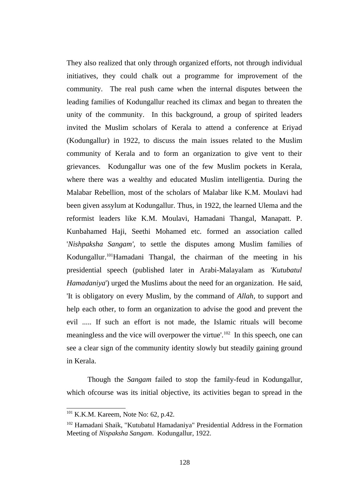They also realized that only through organized efforts, not through individual initiatives, they could chalk out a programme for improvement of the community. The real push came when the internal disputes between the leading families of Kodungallur reached its climax and began to threaten the unity of the community. In this background, a group of spirited leaders invited the Muslim scholars of Kerala to attend a conference at Eriyad (Kodungallur) in 1922, to discuss the main issues related to the Muslim community of Kerala and to form an organization to give vent to their grievances. Kodungallur was one of the few Muslim pockets in Kerala, where there was a wealthy and educated Muslim intelligentia. During the Malabar Rebellion, most of the scholars of Malabar like K.M. Moulavi had been given assylum at Kodungallur. Thus, in 1922, the learned Ulema and the reformist leaders like K.M. Moulavi, Hamadani Thangal, Manapatt. P. Kunbahamed Haji, Seethi Mohamed etc. formed an association called '*Nishpaksha Sangam',* to settle the disputes among Muslim families of Kodungallur.[101](#page--1-30)Hamadani Thangal, the chairman of the meeting in his presidential speech (published later in Arabi-Malayalam as *'Kutubatul Hamadaniya*') urged the Muslims about the need for an organization. He said, 'It is obligatory on every Muslim, by the command of *Allah,* to support and help each other, to form an organization to advise the good and prevent the evil ..... If such an effort is not made, the Islamic rituals will become meaningless and the vice will overpower the virtue'.<sup>[102](#page--1-31)</sup> In this speech, one can see a clear sign of the community identity slowly but steadily gaining ground in Kerala.

Though the *Sangam* failed to stop the family-feud in Kodungallur, which ofcourse was its initial objective, its activities began to spread in the

<sup>&</sup>lt;sup>101</sup> K.K.M. Kareem, Note No: 62, p.42.

<sup>102</sup> Hamadani Shaik, "Kutubatul Hamadaniya" Presidential Address in the Formation Meeting of *Nispaksha Sangam*. Kodungallur, 1922.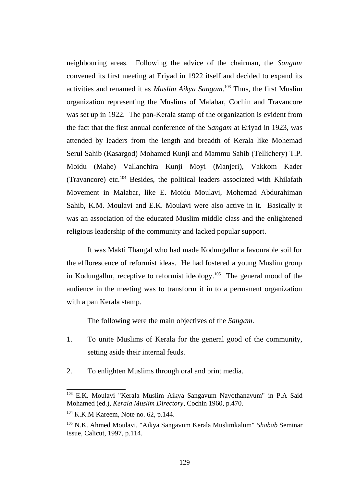neighbouring areas. Following the advice of the chairman, the *Sangam* convened its first meeting at Eriyad in 1922 itself and decided to expand its activities and renamed it as *Muslim Aikya Sangam*. [103](#page--1-32) Thus, the first Muslim organization representing the Muslims of Malabar, Cochin and Travancore was set up in 1922. The pan-Kerala stamp of the organization is evident from the fact that the first annual conference of the *Sangam* at Eriyad in 1923, was attended by leaders from the length and breadth of Kerala like Mohemad Serul Sahib (Kasargod) Mohamed Kunji and Mammu Sahib (Tellichery) T.P. Moidu (Mahe) Vallanchira Kunji Moyi (Manjeri), Vakkom Kader (Travancore) etc. $104$  Besides, the political leaders associated with Khilafath Movement in Malabar, like E. Moidu Moulavi, Mohemad Abdurahiman Sahib, K.M. Moulavi and E.K. Moulavi were also active in it. Basically it was an association of the educated Muslim middle class and the enlightened religious leadership of the community and lacked popular support.

It was Makti Thangal who had made Kodungallur a favourable soil for the efflorescence of reformist ideas. He had fostered a young Muslim group in Kodungallur, receptive to reformist ideology.<sup>[105](#page--1-31)</sup> The general mood of the audience in the meeting was to transform it in to a permanent organization with a pan Kerala stamp.

The following were the main objectives of the *Sangam*.

- 1. To unite Muslims of Kerala for the general good of the community, setting aside their internal feuds.
- 2. To enlighten Muslims through oral and print media.

<sup>103</sup> E.K. Moulavi "Kerala Muslim Aikya Sangavum Navothanavum" in P.A Said Mohamed (ed.), *Kerala Muslim Directory*, Cochin 1960, p.470.

<sup>&</sup>lt;sup>104</sup> K.K.M Kareem, Note no. 62, p.144.

<sup>105</sup> N.K. Ahmed Moulavi, "Aikya Sangavum Kerala Muslimkalum" *Shabab* Seminar Issue, Calicut, 1997, p.114.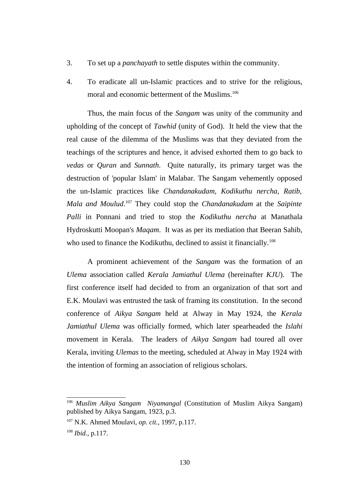- 3. To set up a *panchayath* to settle disputes within the community.
- 4. To eradicate all un-Islamic practices and to strive for the religious, moral and economic betterment of the Muslims.<sup>[106](#page--1-33)</sup>

Thus, the main focus of the *Sangam* was unity of the community and upholding of the concept of *Tawhid* (unity of God). It held the view that the real cause of the dilemma of the Muslims was that they deviated from the teachings of the scriptures and hence, it advised exhorted them to go back to *vedas* or *Quran* and *Sunnath*. Quite naturally, its primary target was the destruction of 'popular Islam' in Malabar. The Sangam vehemently opposed the un-Islamic practices like *Chandanakudam, Kodikuthu nercha, Ratib, Mala and Moulud*. [107](#page--1-34) They could stop the *Chandanakudam* at the *Saipinte Palli* in Ponnani and tried to stop the *Kodikuthu nercha* at Manathala Hydroskutti Moopan's *Maqam*. It was as per its mediation that Beeran Sahib, who used to finance the Kodikuthu, declined to assist it financially.<sup>[108](#page--1-29)</sup>

A prominent achievement of the *Sangam* was the formation of an *Ulema* association called *Kerala Jamiathul Ulema* (hereinafter *KJU*). The first conference itself had decided to from an organization of that sort and E.K. Moulavi was entrusted the task of framing its constitution. In the second conference of *Aikya Sangam* held at Alway in May 1924, the *Kerala Jamiathul Ulema* was officially formed, which later spearheaded the *Islahi* movement in Kerala. The leaders of *Aikya Sangam* had toured all over Kerala, inviting *Ulemas* to the meeting, scheduled at Alway in May 1924 with the intention of forming an association of religious scholars.

<sup>106</sup> *Muslim Aikya Sangam Niyamangal* (Constitution of Muslim Aikya Sangam) published by Aikya Sangam, 1923, p.3.

<sup>107</sup> N.K. Ahmed Moulavi, *op. cit.,* 1997, p.117.

<sup>108</sup> *Ibid.,* p.117.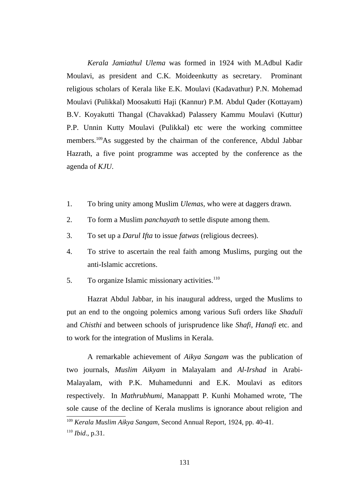*Kerala Jamiathul Ulema* was formed in 1924 with M.Adbul Kadir Moulavi, as president and C.K. Moideenkutty as secretary. Prominant religious scholars of Kerala like E.K. Moulavi (Kadavathur) P.N. Mohemad Moulavi (Pulikkal) Moosakutti Haji (Kannur) P.M. Abdul Qader (Kottayam) B.V. Koyakutti Thangal (Chavakkad) Palassery Kammu Moulavi (Kuttur) P.P. Unnin Kutty Moulavi (Pulikkal) etc were the working committee members.[109](#page--1-34)As suggested by the chairman of the conference, Abdul Jabbar Hazrath, a five point programme was accepted by the conference as the agenda of *KJU*.

- 1. To bring unity among Muslim *Ulemas,* who were at daggers drawn.
- 2. To form a Muslim *panchayath* to settle dispute among them.
- 3. To set up a *Darul Ifta* to issue *fatwas* (religious decrees).
- 4. To strive to ascertain the real faith among Muslims, purging out the anti-Islamic accretions.
- 5. To organize Islamic missionary activities. $110$

Hazrat Abdul Jabbar, in his inaugural address, urged the Muslims to put an end to the ongoing polemics among various Sufi orders like *Shaduli* and *Chisthi* and between schools of jurisprudence like *Shafi*, *Hanafi* etc. and to work for the integration of Muslims in Kerala.

A remarkable achievement of *Aikya Sangam* was the publication of two journals, *Muslim Aikyam* in Malayalam and *Al-Irshad* in Arabi-Malayalam, with P.K. Muhamedunni and E.K. Moulavi as editors respectively. In *Mathrubhumi,* Manappatt P. Kunhi Mohamed wrote, 'The sole cause of the decline of Kerala muslims is ignorance about religion and

<sup>109</sup> *Kerala Muslim Aikya Sangam,* Second Annual Report, 1924, pp. 40-41.

<sup>110</sup> *Ibid*., p.31.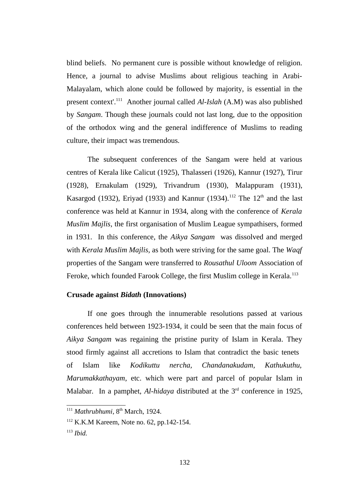blind beliefs. No permanent cure is possible without knowledge of religion. Hence, a journal to advise Muslims about religious teaching in Arabi-Malayalam, which alone could be followed by majority, is essential in the present context'.[111](#page--1-35) Another journal called *Al-Islah* (A.M) was also published by *Sangam*. Though these journals could not last long, due to the opposition of the orthodox wing and the general indifference of Muslims to reading culture, their impact was tremendous.

The subsequent conferences of the Sangam were held at various centres of Kerala like Calicut (1925), Thalasseri (1926), Kannur (1927), Tirur (1928), Ernakulam (1929), Trivandrum (1930), Malappuram (1931), Kasargod (1932), Eriyad (1933) and Kannur (1934).<sup>[112](#page--1-34)</sup> The  $12<sup>th</sup>$  and the last conference was held at Kannur in 1934, along with the conference of *Kerala Muslim Majlis*, the first organisation of Muslim League sympathisers, formed in 1931. In this conference, the *Aikya Sangam* was dissolved and merged with *Kerala Muslim Majlis,* as both were striving for the same goal. The *Waqf* properties of the Sangam were transferred to *Rousathul Uloom* Association of Feroke, which founded Farook College, the first Muslim college in Kerala.<sup>[113](#page--1-29)</sup>

#### **Crusade against** *Bidath* **(Innovations)**

If one goes through the innumerable resolutions passed at various conferences held between 1923-1934, it could be seen that the main focus of *Aikya Sangam* was regaining the pristine purity of Islam in Kerala. They stood firmly against all accretions to Islam that contradict the basic tenets of Islam like *Kodikuttu nercha, Chandanakudam, Kathukuthu, Marumakkathayam*, etc. which were part and parcel of popular Islam in Malabar. In a pamphet, *Al-hidaya* distributed at the 3<sup>rd</sup> conference in 1925,

<sup>&</sup>lt;sup>111</sup> Mathrubhumi, 8<sup>th</sup> March, 1924.

<sup>112</sup> K.K.M Kareem, Note no. 62, pp.142-154.

<sup>113</sup> *Ibid.*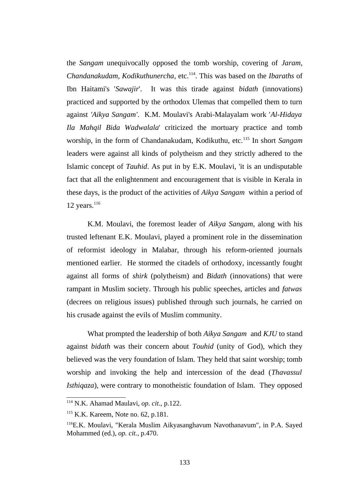the *Sangam* unequivocally opposed the tomb worship, covering of *Jaram*, *Chandanakudam, Kodikuthunercha*, etc.[114](#page--1-0). This was based on the *Ibaraths* of Ibn Haitami's '*Sawajir*'. It was this tirade against *bidath* (innovations) practiced and supported by the orthodox Ulemas that compelled them to turn against *'Aikya Sangam'*. K.M. Moulavi's Arabi-Malayalam work '*Al-Hidaya Ila Mahqil Bida Wadwalala*' criticized the mortuary practice and tomb worship, in the form of Chandanakudam, Kodikuthu, etc.[115](#page--1-1) In short *Sangam* leaders were against all kinds of polytheism and they strictly adhered to the Islamic concept of *Tauhid*. As put in by E.K. Moulavi, 'it is an undisputable fact that all the enlightenment and encouragement that is visible in Kerala in these days, is the product of the activities of *Aikya Sangam* within a period of 12 years. $116$ 

K.M. Moulavi, the foremost leader of *Aikya Sangam*, along with his trusted leftenant E.K. Moulavi, played a prominent role in the dissemination of reformist ideology in Malabar, through his reform-oriented journals mentioned earlier. He stormed the citadels of orthodoxy, incessantly fought against all forms of *shirk* (polytheism) and *Bidath* (innovations) that were rampant in Muslim society. Through his public speeches, articles and *fatwas* (decrees on religious issues) published through such journals, he carried on his crusade against the evils of Muslim community.

What prompted the leadership of both *Aikya Sangam* and *KJU* to stand against *bidath* was their concern about *Touhid* (unity of God), which they believed was the very foundation of Islam. They held that saint worship; tomb worship and invoking the help and intercession of the dead (*Thavassul Isthiqaza*), were contrary to monotheistic foundation of Islam. They opposed

<sup>114</sup> N.K. Ahamad Maulavi, *op. cit*., p.122.

<sup>115</sup> K.K. Kareem, Note no. 62, p.181.

<sup>116</sup>E.K. Moulavi, "Kerala Muslim Aikyasanghavum Navothanavum", in P.A. Sayed Mohammed (ed.), *op. cit.*, p.470.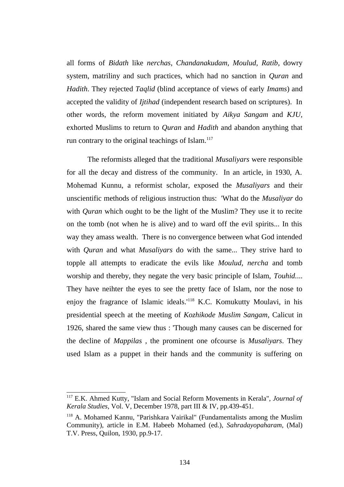all forms of *Bidath* like *nerchas*, *Chandanakudam, Moulud, Ratib*, dowry system, matriliny and such practices, which had no sanction in *Quran* and *Hadith*. They rejected *Taqlid* (blind acceptance of views of early *Imams*) and accepted the validity of *Ijtihad* (independent research based on scriptures). In other words, the reform movement initiated by *Aikya Sangam* and *KJU,* exhorted Muslims to return to *Quran* and *Hadith* and abandon anything that run contrary to the original teachings of Islam. $117$ 

The reformists alleged that the traditional *Musaliyars* were responsible for all the decay and distress of the community. In an article, in 1930, A. Mohemad Kunnu, a reformist scholar, exposed the *Musaliyars* and their unscientific methods of religious instruction thus: 'What do the *Musaliyar* do with *Quran* which ought to be the light of the Muslim? They use it to recite on the tomb (not when he is alive) and to ward off the evil spirits... In this way they amass wealth. There is no convergence between what God intended with *Quran* and what *Musaliyars* do with the same... They strive hard to topple all attempts to eradicate the evils like *Moulud, nercha* and tomb worship and thereby, they negate the very basic principle of Islam, *Touhid.*... They have neihter the eyes to see the pretty face of Islam, nor the nose to enjoy the fragrance of Islamic ideals.'[118](#page--1-4) K.C. Komukutty Moulavi, in his presidential speech at the meeting of *Kozhikode Muslim Sangam*, Calicut in 1926, shared the same view thus : 'Though many causes can be discerned for the decline of *Mappilas* , the prominent one ofcourse is *Musaliyars*. They used Islam as a puppet in their hands and the community is suffering on

<sup>117</sup> E.K. Ahmed Kutty, "Islam and Social Reform Movements in Kerala", *Journal of Kerala Studies*, Vol. V, December 1978, part III & IV, pp.439-451.

<sup>118</sup> A. Mohamed Kannu, "Parishkara Vairikal" (Fundamentalists among the Muslim Community), article in E.M. Habeeb Mohamed (ed.), *Sahradayopaharam*, (Mal) T.V. Press, Quilon, 1930, pp.9-17.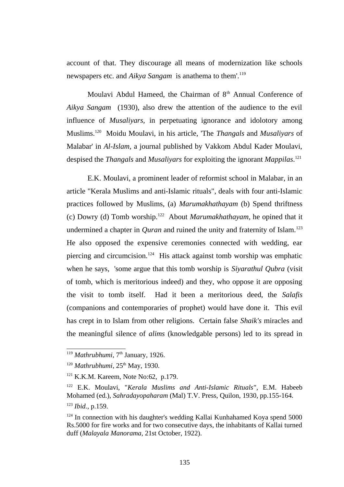account of that. They discourage all means of modernization like schools newspapers etc. and *Aikya Sangam* is anathema to them'.[119](#page--1-5)

Moulavi Abdul Hameed, the Chairman of  $8<sup>th</sup>$  Annual Conference of *Aikya Sangam* (1930), also drew the attention of the audience to the evil influence of *Musaliyars,* in perpetuating ignorance and idolotory among Muslims.[120](#page--1-6) Moidu Moulavi, in his article, 'The *Thangals* and *Musaliyars* of Malabar' in *Al-Islam*, a journal published by Vakkom Abdul Kader Moulavi, despised the *Thangals* and *Musaliyars* for exploiting the ignorant *Mappilas*. [121](#page--1-7)

E.K. Moulavi, a prominent leader of reformist school in Malabar, in an article "Kerala Muslims and anti-Islamic rituals", deals with four anti-Islamic practices followed by Muslims, (a) *Marumakhathayam* (b) Spend thriftness (c) Dowry (d) Tomb worship.[122](#page--1-8) About *Marumakhathayam*, he opined that it undermined a chapter in *Quran* and ruined the unity and fraternity of Islam.<sup>[123](#page--1-9)</sup> He also opposed the expensive ceremonies connected with wedding, ear piercing and circumcision.[124](#page--1-4) His attack against tomb worship was emphatic when he says, 'some argue that this tomb worship is *Siyarathul Qubra* (visit of tomb, which is meritorious indeed) and they, who oppose it are opposing the visit to tomb itself. Had it been a meritorious deed, the *Salafis* (companions and contemporaries of prophet) would have done it. This evil has crept in to Islam from other religions. Certain false *Shaik's* miracles and the meaningful silence of *alims* (knowledgable persons) led to its spread in

<sup>&</sup>lt;sup>119</sup> Mathrubhumi, 7<sup>th</sup> January, 1926.

<sup>&</sup>lt;sup>120</sup> Mathrubhumi, 25<sup>th</sup> May, 1930.

<sup>&</sup>lt;sup>121</sup> K.K.M. Kareem, Note No:62, p.179.

<sup>122</sup> E.K. Moulavi, "*Kerala Muslims and Anti-Islamic Rituals*"*,* E.M. Habeeb Mohamed (ed.), *Sahradayopaharam* (Mal) T.V. Press, Quilon, 1930, pp.155-164.

<sup>123</sup> *Ibid.,* p.159.

 $124$  In connection with his daughter's wedding Kallai Kunhahamed Koya spend 5000 Rs.5000 for fire works and for two consecutive days, the inhabitants of Kallai turned duff (*Malayala Manorama,* 21st October, 1922).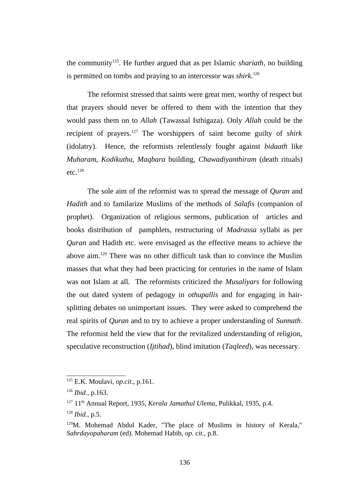the community[125](#page--1-10). He further argued that as per Islamic *shariath,* no building is permitted on tombs and praying to an intercessor was *shirk.*[126](#page--1-11)

The reformist stressed that saints were great men, worthy of respect but that prayers should never be offered to them with the intention that they would pass them on to *Allah* (Tawassal Isthigaza). Only *Allah* could be the recipient of prayers.[127](#page--1-0) The worshippers of saint become guilty of *shirk* (idolatry). Hence, the reformists relentlessly fought against *bidaath* like *Muharam, Kodikuthu, Maqbara* building, *Chawadiyanthiram* (death rituals)  $etc.<sup>128</sup>$  $etc.<sup>128</sup>$  $etc.<sup>128</sup>$ 

The sole aim of the reformist was to spread the message of *Quran* and *Hadith* and to familarize Muslims of the methods of *Salafis* (companion of prophet). Organization of religious sermons, publication of articles and books distribution of pamphlets, restructuring of *Madrassa* syllabi as per *Quran* and Hadith etc. were envisaged as the effective means to achieve the above aim.[129](#page--1-2) There was no other difficult task than to convince the Muslim masses that what they had been practicing for centuries in the name of Islam was not Islam at all. The reformists criticized the *Musaliyars* for following the out dated system of pedagogy in *othupallis* and for engaging in hairsplitting debates on unimportant issues. They were asked to comprehend the real spirits of *Quran* and to try to achieve a proper understanding of *Sunnath*. The reformist held the view that for the revitalized understanding of religion, speculative reconstruction (*Ijtihad*), blind imitation (*Taqleed*), was necessary.

<sup>125</sup> E.K. Moulavi, *op.cit*., p.161.

<sup>126</sup> *Ibid.,* p.163.

<sup>&</sup>lt;sup>127</sup> 11<sup>th</sup> Annual Report, 1935, *Kerala Jamathul Ulema*, Pulikkal, 1935, p.4.

<sup>128</sup> *Ibid.,* p.5.

<sup>&</sup>lt;sup>129</sup>M. Mohemad Abdul Kader, "The place of Muslims in history of Kerala," *Sahrdayopaharam* (ed). Mohemad Habib, *op. cit.,* p.8.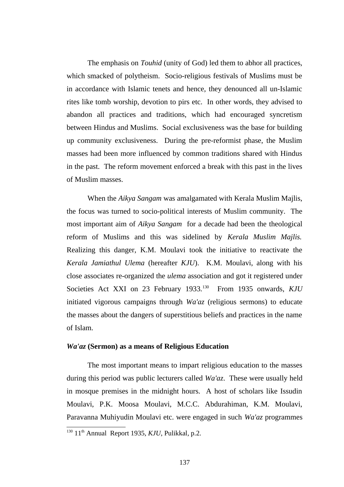The emphasis on *Touhid* (unity of God) led them to abhor all practices, which smacked of polytheism. Socio-religious festivals of Muslims must be in accordance with Islamic tenets and hence, they denounced all un-Islamic rites like tomb worship, devotion to pirs etc. In other words, they advised to abandon all practices and traditions, which had encouraged syncretism between Hindus and Muslims. Social exclusiveness was the base for building up community exclusiveness. During the pre-reformist phase, the Muslim masses had been more influenced by common traditions shared with Hindus in the past. The reform movement enforced a break with this past in the lives of Muslim masses.

When the *Aikya Sangam* was amalgamated with Kerala Muslim Majlis, the focus was turned to socio-political interests of Muslim community. The most important aim of *Aikya Sangam* for a decade had been the theological reform of Muslims and this was sidelined by *Kerala Muslim Majlis.* Realizing this danger, K.M. Moulavi took the initiative to reactivate the *Kerala Jamiathul Ulema* (hereafter *KJU*). K.M. Moulavi, along with his close associates re-organized the *ulema* association and got it registered under Societies Act XXI on 23 February 1933.<sup>[130](#page--1-12)</sup> From 1935 onwards, *KJU* initiated vigorous campaigns through *Wa'az* (religious sermons) to educate the masses about the dangers of superstitious beliefs and practices in the name of Islam.

#### *Wa'az* **(Sermon) as a means of Religious Education**

The most important means to impart religious education to the masses during this period was public lecturers called *Wa'az*. These were usually held in mosque premises in the midnight hours. A host of scholars like Issudin Moulavi, P.K. Moosa Moulavi, M.C.C. Abdurahiman, K.M. Moulavi, Paravanna Muhiyudin Moulavi etc. were engaged in such *Wa'az* programmes

<sup>130</sup> 11th Annual Report 1935, *KJU*, Pulikkal*,* p.2.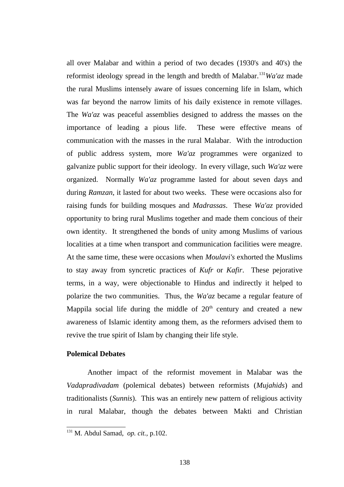all over Malabar and within a period of two decades (1930's and 40's) the reformist ideology spread in the length and bredth of Malabar.[131](#page--1-12)*Wa'az* made the rural Muslims intensely aware of issues concerning life in Islam, which was far beyond the narrow limits of his daily existence in remote villages. The *Wa'az* was peaceful assemblies designed to address the masses on the importance of leading a pious life. These were effective means of communication with the masses in the rural Malabar. With the introduction of public address system, more *Wa'az* programmes were organized to galvanize public support for their ideology. In every village, such *Wa'az* were organized. Normally *Wa'az* programme lasted for about seven days and during *Ramzan*, it lasted for about two weeks. These were occasions also for raising funds for building mosques and *Madrassas*. These *Wa'az* provided opportunity to bring rural Muslims together and made them concious of their own identity. It strengthened the bonds of unity among Muslims of various localities at a time when transport and communication facilities were meagre. At the same time, these were occasions when *Moulavi's* exhorted the Muslims to stay away from syncretic practices of *Kufr* or *Kafir*. These pejorative terms, in a way, were objectionable to Hindus and indirectly it helped to polarize the two communities. Thus, the *Wa'az* became a regular feature of Mappila social life during the middle of  $20<sup>th</sup>$  century and created a new awareness of Islamic identity among them, as the reformers advised them to revive the true spirit of Islam by changing their life style.

# **Polemical Debates**

Another impact of the reformist movement in Malabar was the *Vadapradivadam* (polemical debates) between reformists (*Mujahids*) and traditionalists (*Sunnis*). This was an entirely new pattern of religious activity in rural Malabar, though the debates between Makti and Christian

<sup>131</sup> M. Abdul Samad, *op. cit.,* p.102.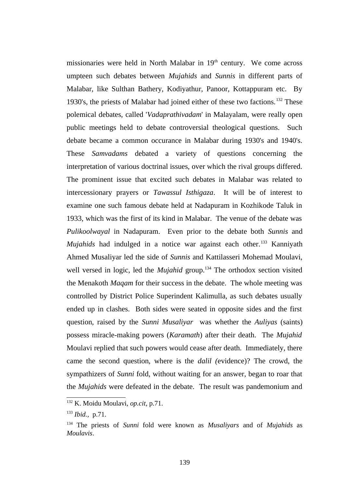missionaries were held in North Malabar in  $19<sup>th</sup>$  century. We come across umpteen such debates between *Mujahids* and *Sunnis* in different parts of Malabar, like Sulthan Bathery, Kodiyathur, Panoor, Kottappuram etc. By 1930's, the priests of Malabar had joined either of these two factions.<sup>[132](#page--1-0)</sup> These polemical debates, called '*Vadaprathivadam*' in Malayalam, were really open public meetings held to debate controversial theological questions. Such debate became a common occurance in Malabar during 1930's and 1940's. These *Samvadams* debated a variety of questions concerning the interpretation of various doctrinal issues, over which the rival groups differed. The prominent issue that excited such debates in Malabar was related to intercessionary prayers or *Tawassul Isthigaza*. It will be of interest to examine one such famous debate held at Nadapuram in Kozhikode Taluk in 1933, which was the first of its kind in Malabar. The venue of the debate was *Pulikoolwayal* in Nadapuram. Even prior to the debate both *Sunnis* and *Mujahids* had indulged in a notice war against each other.<sup>[133](#page--1-1)</sup> Kanniyath Ahmed Musaliyar led the side of *Sunnis* and Kattilasseri Mohemad Moulavi, well versed in logic, led the *Mujahid* group.<sup>[134](#page--1-2)</sup> The orthodox section visited the Menakoth *Maqam* for their success in the debate. The whole meeting was controlled by District Police Superindent Kalimulla, as such debates usually ended up in clashes. Both sides were seated in opposite sides and the first question, raised by the *Sunni Musaliyar* was whether the *Auliyas* (saints) possess miracle-making powers (*Karamath*) after their death. The *Mujahid* Moulavi replied that such powers would cease after death. Immediately, there came the second question, where is the *dalil (*evidence)? The crowd, the sympathizers of *Sunni* fold, without waiting for an answer, began to roar that the *Mujahids* were defeated in the debate. The result was pandemonium and

<sup>132</sup> K. Moidu Moulavi, *op.cit*, p.71.

<sup>133</sup> *Ibid.,* p.71.

<sup>134</sup> The priests of *Sunni* fold were known as *Musaliyars* and of *Mujahids* as *Moulavis*.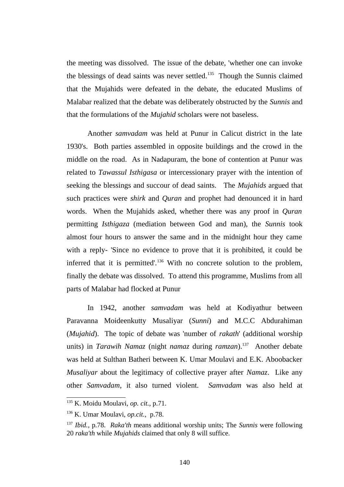the meeting was dissolved. The issue of the debate, 'whether one can invoke the blessings of dead saints was never settled.<sup>[135](#page--1-0)</sup> Though the Sunnis claimed that the Mujahids were defeated in the debate, the educated Muslims of Malabar realized that the debate was deliberately obstructed by the *Sunnis* and that the formulations of the *Mujahid* scholars were not baseless.

Another *samvadam* was held at Punur in Calicut district in the late 1930's. Both parties assembled in opposite buildings and the crowd in the middle on the road. As in Nadapuram, the bone of contention at Punur was related to *Tawassul Isthigasa* or intercessionary prayer with the intention of seeking the blessings and succour of dead saints. The *Mujahids* argued that such practices were *shirk* and *Quran* and prophet had denounced it in hard words. When the Mujahids asked, whether there was any proof in *Quran* permitting *Isthigaza* (mediation between God and man), the *Sunnis* took almost four hours to answer the same and in the midnight hour they came with a reply- 'Since no evidence to prove that it is prohibited, it could be inferred that it is permitted'.<sup>[136](#page--1-1)</sup> With no concrete solution to the problem, finally the debate was dissolved. To attend this programme, Muslims from all parts of Malabar had flocked at Punur

In 1942, another *samvadam* was held at Kodiyathur between Paravanna Moideenkutty Musaliyar (*Sunni*) and M.C.C Abdurahiman (*Mujahid*). The topic of debate was 'number of *rakath*' (additional worship units) in *Tarawih Namaz* (night *namaz* during *ramzan*).[137](#page--1-2) Another debate was held at Sulthan Batheri between K. Umar Moulavi and E.K. Aboobacker *Musaliyar* about the legitimacy of collective prayer after *Namaz*. Like any other *Samvadam*, it also turned violent. *Samvadam* was also held at

<sup>135</sup> K. Moidu Moulavi, *op. cit.,* p.71.

<sup>136</sup> K. Umar Moulavi, *op.cit.,* p.78.

<sup>137</sup> *Ibid.,* p.78. *Raka'th* means additional worship units; The *Sunnis* were following 20 *raka'th* while *Mujahids* claimed that only 8 will suffice.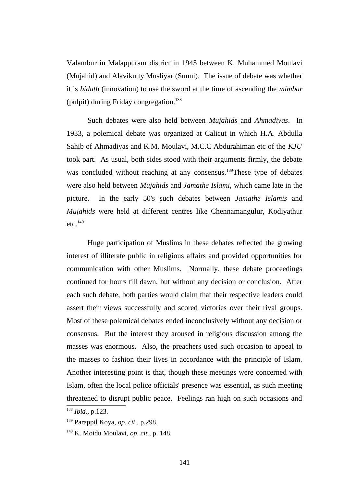Valambur in Malappuram district in 1945 between K. Muhammed Moulavi (Mujahid) and Alavikutty Musliyar (Sunni). The issue of debate was whether it is *bidath* (innovation) to use the sword at the time of ascending the *mimbar* (pulpit) during Friday congregation. $138$ 

Such debates were also held between *Mujahids* and *Ahmadiyas*. In 1933, a polemical debate was organized at Calicut in which H.A. Abdulla Sahib of Ahmadiyas and K.M. Moulavi, M.C.C Abdurahiman etc of the *KJU* took part. As usual, both sides stood with their arguments firmly, the debate was concluded without reaching at any consensus.<sup>[139](#page--1-14)</sup>These type of debates were also held between *Mujahids* and *Jamathe Islami,* which came late in the picture. In the early 50's such debates between *Jamathe Islamis* and *Mujahids* were held at different centres like Chennamangulur, Kodiyathur  $etc.<sup>140</sup>$  $etc.<sup>140</sup>$  $etc.<sup>140</sup>$ 

Huge participation of Muslims in these debates reflected the growing interest of illiterate public in religious affairs and provided opportunities for communication with other Muslims. Normally, these debate proceedings continued for hours till dawn, but without any decision or conclusion. After each such debate, both parties would claim that their respective leaders could assert their views successfully and scored victories over their rival groups. Most of these polemical debates ended inconclusively without any decision or consensus. But the interest they aroused in religious discussion among the masses was enormous. Also, the preachers used such occasion to appeal to the masses to fashion their lives in accordance with the principle of Islam. Another interesting point is that, though these meetings were concerned with Islam, often the local police officials' presence was essential, as such meeting threatened to disrupt public peace. Feelings ran high on such occasions and

<sup>138</sup> *Ibid.,* p.123.

<sup>139</sup> Parappil Koya, *op. cit.,* p.298.

<sup>140</sup> K. Moidu Moulavi, *op. cit.,* p. 148.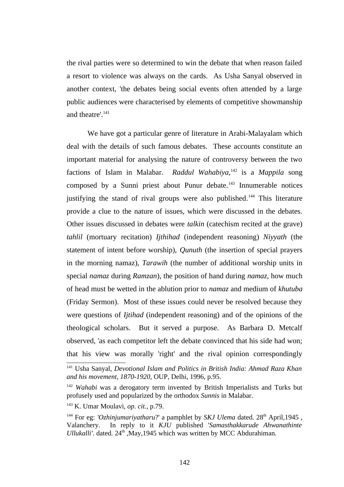the rival parties were so determined to win the debate that when reason failed a resort to violence was always on the cards. As Usha Sanyal observed in another context, 'the debates being social events often attended by a large public audiences were characterised by elements of competitive showmanship and theatre'.<sup>[141](#page--1-15)</sup>

We have got a particular genre of literature in Arabi-Malayalam which deal with the details of such famous debates. These accounts constitute an important material for analysing the nature of controversy between the two factions of Islam in Malabar. *Raddul Wahabiya*, [142](#page--1-8) is a *Mappila* song composed by a Sunni priest about Punur debate.<sup>[143](#page--1-9)</sup> Innumerable notices justifying the stand of rival groups were also published.<sup>[144](#page--1-4)</sup> This literature provide a clue to the nature of issues, which were discussed in the debates. Other issues discussed in debates were *talkin* (catechism recited at the grave) *tahlil* (mortuary recitation) *Ijthihad* (independent reasoning) *Niyyath* (the statement of intent before worship), *Qunuth* (the insertion of special prayers in the morning namaz), *Tarawih* (the number of additional worship units in special *namaz* during *Ramzan*), the position of hand during *namaz*, how much of head must be wetted in the ablution prior to *namaz* and medium of *khutuba* (Friday Sermon). Most of these issues could never be resolved because they were questions of *Ijtihad* (independent reasoning) and of the opinions of the theological scholars. But it served a purpose. As Barbara D. Metcalf observed, 'as each competitor left the debate convinced that his side had won; that his view was morally 'right' and the rival opinion correspondingly

<sup>141</sup> Usha Sanyal, *Devotional Islam and Politics in British India: Ahmad Raza Khan and his movement, 1870-1920,* OUP, Delhi, 1996, p.95.

<sup>142</sup> *Wahabi* was a derogatory term invented by British Imperialists and Turks but profusely used and popularized by the orthodox *Sunnis* in Malabar.

<sup>143</sup> K. Umar Moulavi, *op. cit.,* p.79.

<sup>&</sup>lt;sup>144</sup> For eg: *'Ozhinjumarivatharu*?' a pamphlet by *SKJ Ulema* dated. 28<sup>th</sup> April, 1945, Valanchery. In reply to it *KJU* published '*Samasthakkarude Ahwanathinte Ullukalli'*. dated. 24<sup>th</sup>, May, 1945 which was written by MCC Abdurahiman.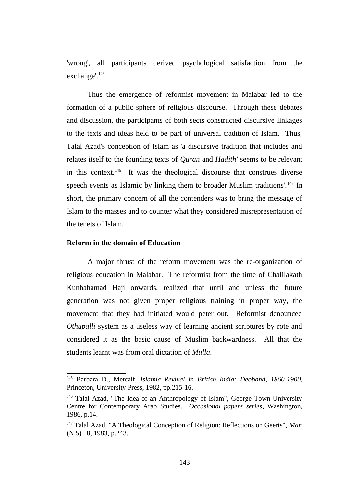'wrong', all participants derived psychological satisfaction from the exchange'.<sup>[145](#page--1-16)</sup>

Thus the emergence of reformist movement in Malabar led to the formation of a public sphere of religious discourse. Through these debates and discussion, the participants of both sects constructed discursive linkages to the texts and ideas held to be part of universal tradition of Islam. Thus, Talal Azad's conception of Islam as 'a discursive tradition that includes and relates itself to the founding texts of *Quran* and *Hadith'* seems to be relevant in this context. $146$  It was the theological discourse that construes diverse speech events as Islamic by linking them to broader Muslim traditions'.<sup>[147](#page--1-2)</sup> In short, the primary concern of all the contenders was to bring the message of Islam to the masses and to counter what they considered misrepresentation of the tenets of Islam.

## **Reform in the domain of Education**

A major thrust of the reform movement was the re-organization of religious education in Malabar. The reformist from the time of Chalilakath Kunhahamad Haji onwards, realized that until and unless the future generation was not given proper religious training in proper way, the movement that they had initiated would peter out. Reformist denounced *Othupalli* system as a useless way of learning ancient scriptures by rote and considered it as the basic cause of Muslim backwardness. All that the students learnt was from oral dictation of *Mulla*.

<sup>145</sup> Barbara D., Metcalf, *Islamic Revival in British India: Deoband, 1860-1900*, Princeton, University Press, 1982, pp.215-16.

<sup>&</sup>lt;sup>146</sup> Talal Azad, "The Idea of an Anthropology of Islam", George Town University Centre for Contemporary Arab Studies. *Occasional papers series*, Washington, 1986, p.14.

<sup>147</sup> Talal Azad, "A Theological Conception of Religion: Reflections on Geerts", *Man* (N.5) 18, 1983, p.243.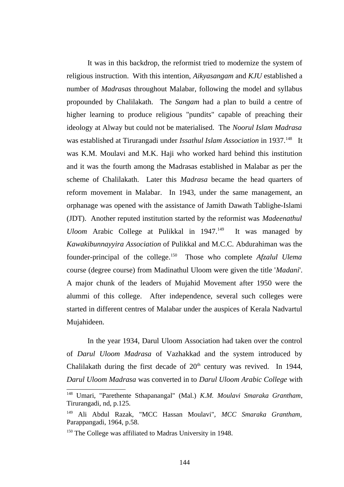It was in this backdrop, the reformist tried to modernize the system of religious instruction. With this intention, *Aikyasangam* and *KJU* established a number of *Madrasas* throughout Malabar, following the model and syllabus propounded by Chalilakath. The *Sangam* had a plan to build a centre of higher learning to produce religious "pundits" capable of preaching their ideology at Alway but could not be materialised. The *Noorul Islam Madrasa* was established at Tirurangadi under *Issathul Islam Association* in 1937.<sup>[148](#page--1-17)</sup> It was K.M. Moulavi and M.K. Haji who worked hard behind this institution and it was the fourth among the Madrasas established in Malabar as per the scheme of Chalilakath. Later this *Madrasa* became the head quarters of reform movement in Malabar. In 1943, under the same management, an orphanage was opened with the assistance of Jamith Dawath Tablighe-Islami (JDT). Another reputed institution started by the reformist was *Madeenathul Uloom* Arabic College at Pulikkal in 1947.<sup>[149](#page--1-1)</sup> It was managed by *Kawakibunnayyira Association* of Pulikkal and M.C.C. Abdurahiman was the founder-principal of the college.[150](#page--1-12) Those who complete *Afzalul Ulema* course (degree course) from Madinathul Uloom were given the title '*Madani*'. A major chunk of the leaders of Mujahid Movement after 1950 were the alummi of this college. After independence, several such colleges were started in different centres of Malabar under the auspices of Kerala Nadvartul Mujahideen.

In the year 1934, Darul Uloom Association had taken over the control of *Darul Uloom Madrasa* of Vazhakkad and the system introduced by Chalilakath during the first decade of  $20<sup>th</sup>$  century was revived. In 1944, *Darul Uloom Madrasa* was converted in to *Darul Uloom Arabic College* with

<sup>148</sup> Umari, "Parethente Sthapanangal" (Mal.) *K.M. Moulavi Smaraka Grantham*, Tirurangadi, nd, p.125.

<sup>149</sup> Ali Abdul Razak, "MCC Hassan Moulavi", *MCC Smaraka Grantham,* Parappangadi, 1964, p.58.

<sup>&</sup>lt;sup>150</sup> The College was affiliated to Madras University in 1948.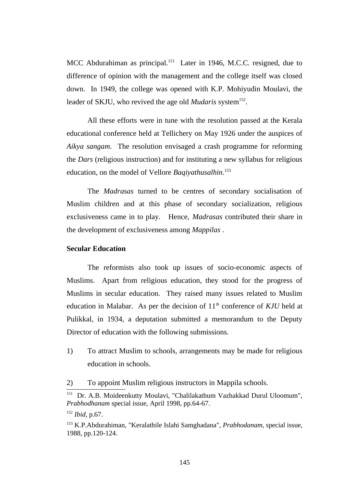MCC Abdurahiman as principal.<sup>[151](#page--1-17)</sup> Later in 1946, M.C.C. resigned, due to difference of opinion with the management and the college itself was closed down. In 1949, the college was opened with K.P. Mohiyudin Moulavi, the leader of SKJU, who revived the age old *Mudaris* system<sup>[152](#page--1-1)</sup>.

All these efforts were in tune with the resolution passed at the Kerala educational conference held at Tellichery on May 1926 under the auspices of *Aikya sangam*. The resolution envisaged a crash programme for reforming the *Dars* (religious instruction) and for instituting a new syllabus for religious education, on the model of Vellore *Baqiyathusalhin*. [153](#page--1-2)

The *Madrasas* turned to be centres of secondary socialisation of Muslim children and at this phase of secondary socialization, religious exclusiveness came in to play. Hence, *Madrasas* contributed their share in the development of exclusiveness among *Mappilas* .

# **Secular Education**

The reformists also took up issues of socio-economic aspects of Muslims. Apart from religious education, they stood for the progress of Muslims in secular education. They raised many issues related to Muslim education in Malabar. As per the decision of 11<sup>th</sup> conference of *KJU* held at Pulikkal, in 1934, a deputation submitted a memorandum to the Deputy Director of education with the following submissions.

1) To attract Muslim to schools, arrangements may be made for religious education in schools.

2) To appoint Muslim religious instructors in Mappila schools.

<sup>151</sup> Dr. A.B. Moideenkutty Moulavi, "Chalilakathum Vazhakkad Durul Uloomum", *Prabhodhanam* special issue, April 1998, pp.64-67.

<sup>152</sup> *Ibid*, p.67.

<sup>153</sup> K.P.Abdurahiman, "Keralathile Islahi Samghadana"*, Prabhodanam*, special issue, 1988, pp.120-124.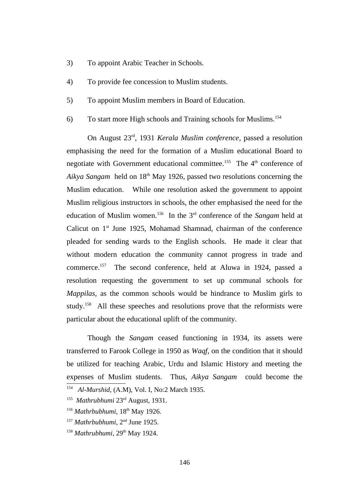- 3) To appoint Arabic Teacher in Schools.
- 4) To provide fee concession to Muslim students.
- 5) To appoint Muslim members in Board of Education.
- 6) To start more High schools and Training schools for Muslims.[154](#page--1-18)

On August 23rd, 1931 *Kerala Muslim conference*, passed a resolution emphasising the need for the formation of a Muslim educational Board to negotiate with Government educational committee.<sup>[155](#page--1-19)</sup> The  $4<sup>th</sup>$  conference of Aikya Sangam held on 18<sup>th</sup> May 1926, passed two resolutions concerning the Muslim education. While one resolution asked the government to appoint Muslim religious instructors in schools, the other emphasised the need for the education of Muslim women.[156](#page--1-13) In the 3rd conference of the *Sangam* held at Calicut on  $1<sup>st</sup>$  June 1925, Mohamad Shamnad, chairman of the conference pleaded for sending wards to the English schools. He made it clear that without modern education the community cannot progress in trade and commerce.[157](#page--1-14) The second conference, held at Aluwa in 1924, passed a resolution requesting the government to set up communal schools for *Mappilas,* as the common schools would be hindrance to Muslim girls to study.<sup>[158](#page--1-12)</sup> All these speeches and resolutions prove that the reformists were particular about the educational uplift of the community.

Though the *Sangam* ceased functioning in 1934, its assets were transferred to Farook College in 1950 as *Waqf,* on the condition that it should be utilized for teaching Arabic, Urdu and Islamic History and meeting the expenses of Muslim students. Thus, *Aikya Sangam* could become the 154 *Al-Murshid*, (A.M), Vol. I, No:2 March 1935.

<sup>157</sup> Mathrbubhumi, 2<sup>nd</sup> June 1925.

<sup>&</sup>lt;sup>155</sup> Mathrubhumi 23<sup>rd</sup> August, 1931.

<sup>&</sup>lt;sup>156</sup> Mathrbubhumi, 18<sup>th</sup> May 1926.

<sup>&</sup>lt;sup>158</sup> Mathrubhumi, 29<sup>th</sup> May 1924.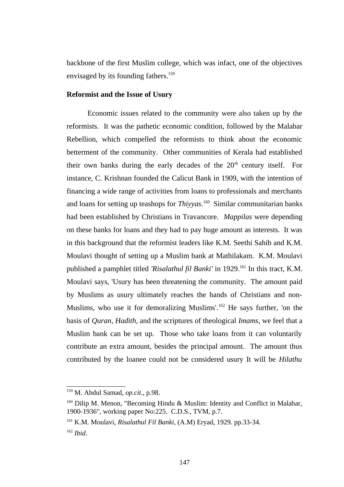backbone of the first Muslim college, which was infact, one of the objectives envisaged by its founding fathers.<sup>[159](#page--1-11)</sup>

### **Reformist and the Issue of Usury**

Economic issues related to the community were also taken up by the reformists. It was the pathetic economic condition, followed by the Malabar Rebellion, which compelled the reformists to think about the economic betterment of the community. Other communities of Kerala had established their own banks during the early decades of the  $20<sup>th</sup>$  century itself. For instance, C. Krishnan founded the Calicut Bank in 1909, with the intention of financing a wide range of activities from loans to professionals and merchants and loans for setting up teashops for *Thiyyas*. [160](#page--1-0) Similar communitarian banks had been established by Christians in Travancore. *Mappilas* were depending on these banks for loans and they had to pay huge amount as interests. It was in this background that the reformist leaders like K.M. Seethi Sahib and K.M. Moulavi thought of setting up a Muslim bank at Mathilakam. K.M. Moulavi published a pamphlet titled *'Risalathul fil Banki'* in 1929.<sup>[161](#page--1-14)</sup> In this tract, K.M. Moulavi says, 'Usury has been threatening the community. The amount paid by Muslims as usury ultimately reaches the hands of Christians and non-Muslims, who use it for demoralizing Muslims'.<sup>[162](#page--1-12)</sup> He says further, 'on the basis of *Quran*, *Hadith*, and the scriptures of theological *Imams*, we feel that a Muslim bank can be set up. Those who take loans from it can voluntarily contribute an extra amount, besides the principal amount. The amount thus contributed by the loanee could not be considered usury It will be *Hilathu*

<sup>159</sup> M. Abdul Samad, *op.cit*., p.98.

<sup>&</sup>lt;sup>160</sup> Dilip M. Menon, "Becoming Hindu & Muslim: Identity and Conflict in Malabar, 1900-1936", working paper No:225. C.D.S., TVM, p.7.

<sup>161</sup> K.M. Moulavi, *Risalathul Fil Banki*, (A.M) Eryad, 1929. pp.33-34. <sup>162</sup> *Ibid*.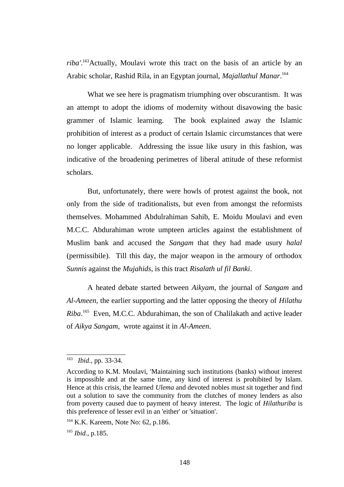*riba'*. [163](#page--1-20)Actually, Moulavi wrote this tract on the basis of an article by an Arabic scholar, Rashid Rila, in an Egyptan journal, *Majallathul Manar*. [164](#page--1-14)

What we see here is pragmatism triumphing over obscurantism. It was an attempt to adopt the idioms of modernity without disavowing the basic grammer of Islamic learning. The book explained away the Islamic prohibition of interest as a product of certain Islamic circumstances that were no longer applicable. Addressing the issue like usury in this fashion, was indicative of the broadening perimetres of liberal attitude of these reformist scholars.

But, unfortunately, there were howls of protest against the book, not only from the side of traditionalists, but even from amongst the reformists themselves. Mohammed Abdulrahiman Sahib, E. Moidu Moulavi and even M.C.C. Abdurahiman wrote umpteen articles against the establishment of Muslim bank and accused the *Sangam* that they had made usury *halal* (permissibile). Till this day, the major weapon in the armoury of orthodox *Sunnis* against the *Mujahids,* is this tract *Risalath ul fil Banki*.

A heated debate started between *Aikyam,* the journal of *Sangam* and *Al-Ameen,* the earlier supporting and the latter opposing the theory of *Hilathu Riba*. [165](#page--1-12) Even, M.C.C. Abdurahiman, the son of Chalilakath and active leader of *Aikya Sangam,* wrote against it in *Al-Ameen*.

<sup>163</sup> *Ibid.,* pp. 33-34.

According to K.M. Moulavi, 'Maintaining such institutions (banks) without interest is impossible and at the same time, any kind of interest is prohibited by Islam. Hence at this crisis, the learned *Ulema* and devoted nobles must sit together and find out a solution to save the community from the clutches of money lenders as also from poverty caused due to payment of heavy interest. The logic of *Hilathuriba* is this preference of lesser evil in an 'either' or 'situation'.

<sup>&</sup>lt;sup>164</sup> K.K. Kareem, Note No: 62, p.186.

<sup>165</sup> *Ibid.,* p.185.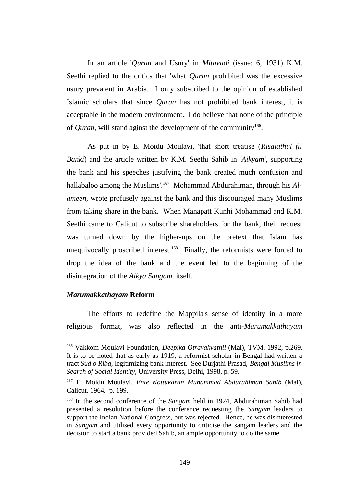In an article '*Quran* and Usury' in *Mitavadi* (issue: 6, 1931) K.M. Seethi replied to the critics that 'what *Quran* prohibited was the excessive usury prevalent in Arabia. I only subscribed to the opinion of established Islamic scholars that since *Quran* has not prohibited bank interest, it is acceptable in the modern environment. I do believe that none of the principle of *Quran*, will stand aginst the development of the community<sup>[166](#page--1-21)</sup>.

As put in by E. Moidu Moulavi, 'that short treatise (*Risalathul fil Banki*) and the article written by K.M. Seethi Sahib in *'Aikyam',* supporting the bank and his speeches justifying the bank created much confusion and hallabaloo among the Muslims'.[167](#page--1-22) Mohammad Abdurahiman, through his *Alameen,* wrote profusely against the bank and this discouraged many Muslims from taking share in the bank. When Manapatt Kunhi Mohammad and K.M. Seethi came to Calicut to subscribe shareholders for the bank, their request was turned down by the higher-ups on the pretext that Islam has unequivocally proscribed interest.<sup>[168](#page--1-23)</sup> Finally, the reformists were forced to drop the idea of the bank and the event led to the beginning of the disintegration of the *Aikya Sangam* itself.

## *Marumakkathayam* **Reform**

The efforts to redefine the Mappila's sense of identity in a more religious format, was also reflected in the anti-*Marumakkathayam*

<sup>166</sup> Vakkom Moulavi Foundation, *Deepika Otravakyathil* (Mal), TVM, 1992, p.269. It is to be noted that as early as 1919, a reformist scholar in Bengal had written a tract *Sud o Riba,* legitimizing bank interest. See Durjathi Prasad, *Bengal Muslims in Search of Social Identity*, University Press, Delhi, 1998, p. 59.

<sup>167</sup> E. Moidu Moulavi, *Ente Kottukaran Muhammad Abdurahiman Sahib* (Mal), Calicut, 1964, p. 199.

<sup>168</sup> In the second conference of the *Sangam* held in 1924, Abdurahiman Sahib had presented a resolution before the conference requesting the *Sangam* leaders to support the Indian National Congress, but was rejected. Hence, he was disinterested in *Sangam* and utilised every opportunity to criticise the sangam leaders and the decision to start a bank provided Sahib, an ample opportunity to do the same.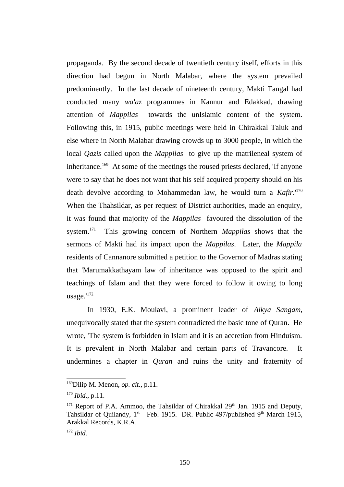propaganda. By the second decade of twentieth century itself, efforts in this direction had begun in North Malabar, where the system prevailed predominently. In the last decade of nineteenth century, Makti Tangal had conducted many *wa'az* programmes in Kannur and Edakkad, drawing attention of *Mappilas* towards the unIslamic content of the system. Following this, in 1915, public meetings were held in Chirakkal Taluk and else where in North Malabar drawing crowds up to 3000 people, in which the local *Qazis* called upon the *Mappilas* to give up the matrileneal system of inheritance.<sup>[169](#page--1-24)</sup> At some of the meetings the roused priests declared, 'If anyone were to say that he does not want that his self acquired property should on his death devolve according to Mohammedan law, he would turn a *Kafir*.'[170](#page--1-17) When the Thahsildar, as per request of District authorities, made an enquiry, it was found that majority of the *Mappilas* favoured the dissolution of the system.[171](#page--1-9) This growing concern of Northern *Mappilas* shows that the sermons of Makti had its impact upon the *Mappilas*. Later, the *Mappila* residents of Cannanore submitted a petition to the Governor of Madras stating that 'Marumakkathayam law of inheritance was opposed to the spirit and teachings of Islam and that they were forced to follow it owing to long usage.'[172](#page--1-12)

In 1930, E.K. Moulavi, a prominent leader of *Aikya Sangam,* unequivocally stated that the system contradicted the basic tone of Quran. He wrote, 'The system is forbidden in Islam and it is an accretion from Hinduism. It is prevalent in North Malabar and certain parts of Travancore. It undermines a chapter in *Quran* and ruins the unity and fraternity of

<sup>169</sup>Dilip M. Menon, *op. cit.*, p.11.

<sup>170</sup> *Ibid.*, p.11.

 $171$  Report of P.A. Ammoo, the Tahsildar of Chirakkal 29<sup>th</sup> Jan. 1915 and Deputy, Tahsildar of Quilandy, 1<sup>st</sup> Feb. 1915. DR. Public 497/published 9<sup>th</sup> March 1915, Arakkal Records, K.R.A.

<sup>172</sup> *Ibid.*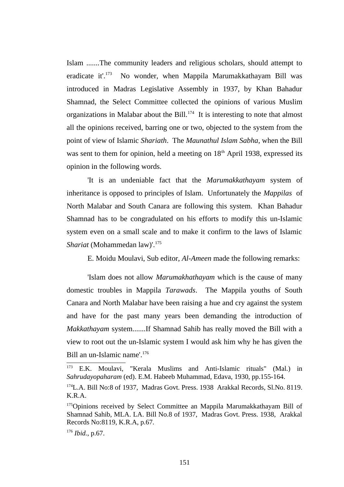Islam .......The community leaders and religious scholars, should attempt to eradicate it'.<sup>[173](#page--1-15)</sup> No wonder, when Mappila Marumakkathayam Bill was introduced in Madras Legislative Assembly in 1937, by Khan Bahadur Shamnad, the Select Committee collected the opinions of various Muslim organizations in Malabar about the Bill.<sup>[174](#page--1-8)</sup> It is interesting to note that almost all the opinions received, barring one or two, objected to the system from the point of view of Islamic *Shariath*. The *Maunathul Islam Sabha*, when the Bill was sent to them for opinion, held a meeting on  $18<sup>th</sup>$  April 1938, expressed its opinion in the following words.

'It is an undeniable fact that the *Marumakkathayam* system of inheritance is opposed to principles of Islam. Unfortunately the *Mappilas* of North Malabar and South Canara are following this system. Khan Bahadur Shamnad has to be congradulated on his efforts to modify this un-Islamic system even on a small scale and to make it confirm to the laws of Islamic *Shariat* (Mohammedan law)'.<sup>[175](#page--1-9)</sup>

E. Moidu Moulavi, Sub editor, *Al-Ameen* made the following remarks:

'Islam does not allow *Marumakhathayam* which is the cause of many domestic troubles in Mappila *Tarawads*. The Mappila youths of South Canara and North Malabar have been raising a hue and cry against the system and have for the past many years been demanding the introduction of *Makkathayam* system.......If Shamnad Sahib has really moved the Bill with a view to root out the un-Islamic system I would ask him why he has given the Bill an un-Islamic name'.<sup>[176](#page--1-12)</sup>

 $173$  E.K. Moulavi, "Kerala Muslims and Anti-Islamic rituals" (Mal.) in *Sahrudayopaharam* (ed). E.M. Habeeb Muhammad, Edava, 1930, pp.155-164.

<sup>&</sup>lt;sup>174</sup>L.A. Bill No:8 of 1937, Madras Govt. Press. 1938 Arakkal Records, Sl.No. 8119. K.R.A.

<sup>&</sup>lt;sup>175</sup>Opinions received by Select Committee an Mappila Marumakkathayam Bill of Shamnad Sahib, MLA. LA. Bill No.8 of 1937, Madras Govt. Press. 1938, Arakkal Records No:8119, K.R.A, p.67.

<sup>176</sup> *Ibid.*, p.67.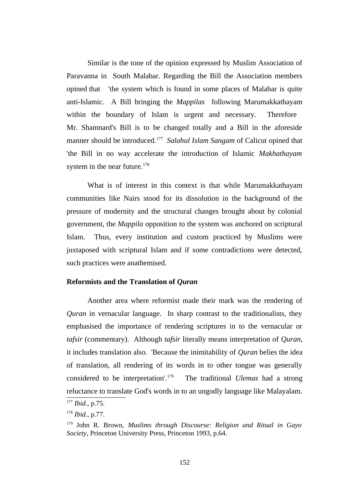Similar is the tone of the opinion expressed by Muslim Association of Paravanna in South Malabar. Regarding the Bill the Association members opined that 'the system which is found in some places of Malabar is quite anti-Islamic. A Bill bringing the *Mappilas* following Marumakkathayam within the boundary of Islam is urgent and necessary. Therefore Mr. Shamnard's Bill is to be changed totally and a Bill in the aforeside manner should be introduced.<sup>[177](#page--1-0)</sup> Salahul Islam Sangam of Calicut opined that 'the Bill in no way accelerate the introduction of Islamic *Makhathayam* system in the near future. $178$ 

What is of interest in this context is that while Marumakkathayam communities like Nairs stood for its dissolution in the background of the pressure of modernity and the structural changes brought about by colonial government, the *Mappila* opposition to the system was anchored on scriptural Islam. Thus, every institution and custom practiced by Muslims were juxtaposed with scriptural Islam and if some contradictions were detected, such practices were anathemised.

# **Reformists and the Translation of** *Quran*

Another area where reformist made their mark was the rendering of *Quran* in vernacular language. In sharp contrast to the traditionalists, they emphasised the importance of rendering scriptures in to the vernacular or *tafsir* (commentary). Although *tafsir* literally means interpretation of *Quran*, it includes translation also. 'Because the inimitability of *Quran* belies the idea of translation, all rendering of its words in to other tongue was generally considered to be interpretation'.[179](#page--1-2) The traditional *Ulemas* had a strong reluctance to translate God's words in to an ungodly language like Malayalam.

<sup>177</sup> *Ibid.*, p.75.

<sup>178</sup> *Ibid.*, p.77.

<sup>179</sup> John R. Brown, *Muslims through Discourse: Religion and Ritual in Gayo Society*, Princeton University Press, Princeton 1993, p.64.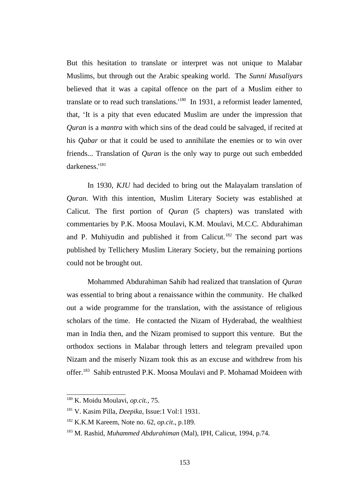But this hesitation to translate or interpret was not unique to Malabar Muslims, but through out the Arabic speaking world. The *Sunni Musaliyars* believed that it was a capital offence on the part of a Muslim either to translate or to read such translations.<sup>[180](#page--1-19)</sup> In 1931, a reformist leader lamented, that, 'It is a pity that even educated Muslim are under the impression that *Quran* is a *mantra* with which sins of the dead could be salvaged, if recited at his *Qabar* or that it could be used to annihilate the enemies or to win over friends... Translation of *Quran* is the only way to purge out such embedded darkeness.'[181](#page--1-13)

In 1930, *KJU* had decided to bring out the Malayalam translation of *Quran*. With this intention, Muslim Literary Society was established at Calicut. The first portion of *Quran* (5 chapters) was translated with commentaries by P.K. Moosa Moulavi, K.M. Moulavi, M.C.C. Abdurahiman and P. Muhiyudin and published it from Calicut.<sup>[182](#page--1-14)</sup> The second part was published by Tellichery Muslim Literary Society, but the remaining portions could not be brought out.

Mohammed Abdurahiman Sahib had realized that translation of *Quran* was essential to bring about a renaissance within the community. He chalked out a wide programme for the translation, with the assistance of religious scholars of the time. He contacted the Nizam of Hyderabad, the wealthiest man in India then, and the Nizam promised to support this venture. But the orthodox sections in Malabar through letters and telegram prevailed upon Nizam and the miserly Nizam took this as an excuse and withdrew from his offer.<sup>[183](#page--1-12)</sup> Sahib entrusted P.K. Moosa Moulavi and P. Mohamad Moideen with

<sup>180</sup> K. Moidu Moulavi, *op.cit.,* 75.

<sup>181</sup> V. Kasim Pilla, *Deepika*, Issue:1 Vol:1 1931.

<sup>182</sup> K.K.M Kareem, Note no. 62, *op.cit*., p.189.

<sup>183</sup> M. Rashid, *Muhammed Abdurahiman* (Mal)*,* IPH, Calicut, 1994, p.74.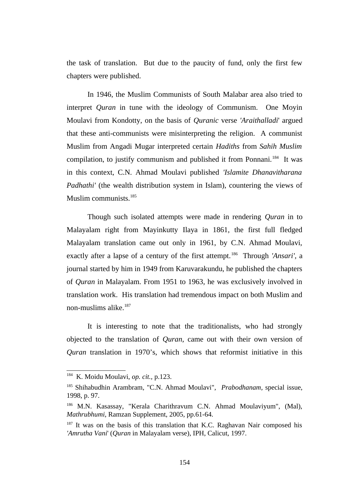the task of translation. But due to the paucity of fund, only the first few chapters were published.

In 1946, the Muslim Communists of South Malabar area also tried to interpret *Quran* in tune with the ideology of Communism. One Moyin Moulavi from Kondotty, on the basis of *Quranic* verse *'Araithalladi*' argued that these anti-communists were misinterpreting the religion. A communist Muslim from Angadi Mugar interpreted certain *Hadiths* from *Sahih Muslim* compilation, to justify communism and published it from Ponnani.<sup>[184](#page--1-7)</sup> It was in this context, C.N. Ahmad Moulavi published *'Islamite Dhanavitharana Padhathi'* (the wealth distribution system in Islam), countering the views of Muslim communists.<sup>[185](#page--1-8)</sup>

Though such isolated attempts were made in rendering *Quran* in to Malayalam right from Mayinkutty Ilaya in 1861, the first full fledged Malayalam translation came out only in 1961, by C.N. Ahmad Moulavi, exactly after a lapse of a century of the first attempt.<sup>[186](#page--1-9)</sup> Through *'Ansari'*, a journal started by him in 1949 from Karuvarakundu, he published the chapters of *Quran* in Malayalam. From 1951 to 1963, he was exclusively involved in translation work. His translation had tremendous impact on both Muslim and non-muslims alike. $187$ 

It is interesting to note that the traditionalists, who had strongly objected to the translation of *Quran*, came out with their own version of *Quran* translation in 1970's, which shows that reformist initiative in this

<sup>184</sup> K. Moidu Moulavi, *op. cit.,* p.123.

<sup>185</sup> Shihabudhin Arambram, "C.N. Ahmad Moulavi", *Prabodhanam*, special issue, 1998, p. 97.

<sup>186</sup> M.N. Kasassay, "Kerala Charithravum C.N. Ahmad Moulaviyum", (Mal), *Mathrubhumi*, Ramzan Supplement, 2005, pp.61-64.

 $187$  It was on the basis of this translation that K.C. Raghavan Nair composed his *'Amrutha Vani*' (*Quran* in Malayalam verse), IPH, Calicut, 1997.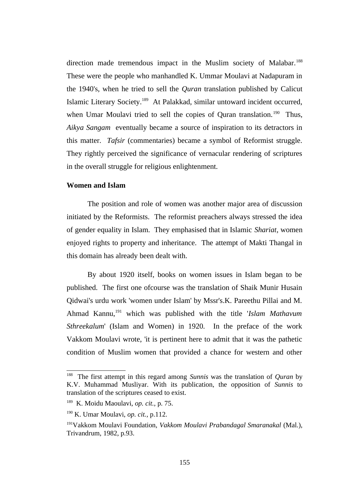direction made tremendous impact in the Muslim society of Malabar.<sup>[188](#page--1-7)</sup> These were the people who manhandled K. Ummar Moulavi at Nadapuram in the 1940's, when he tried to sell the *Quran* translation published by Calicut Islamic Literary Society.[189](#page--1-0) At Palakkad, similar untoward incident occurred, when Umar Moulavi tried to sell the copies of Quran translation.<sup>[190](#page--1-1)</sup> Thus, *Aikya Sangam* eventually became a source of inspiration to its detractors in this matter. *Tafsir* (commentaries) became a symbol of Reformist struggle. They rightly perceived the significance of vernacular rendering of scriptures in the overall struggle for religious enlightenment.

#### **Women and Islam**

The position and role of women was another major area of discussion initiated by the Reformists. The reformist preachers always stressed the idea of gender equality in Islam. They emphasised that in Islamic *Shariat*, women enjoyed rights to property and inheritance. The attempt of Makti Thangal in this domain has already been dealt with.

By about 1920 itself, books on women issues in Islam began to be published. The first one ofcourse was the translation of Shaik Munir Husain Qidwai's urdu work 'women under Islam' by Mssr's.K. Pareethu Pillai and M. Ahmad Kannu,[191](#page--1-2) which was published with the title '*Islam Mathavum Sthreekalum*' (Islam and Women) in 1920. In the preface of the work Vakkom Moulavi wrote, 'it is pertinent here to admit that it was the pathetic condition of Muslim women that provided a chance for western and other

<sup>188</sup> The first attempt in this regard among *Sunnis* was the translation of *Quran* by K.V. Muhammad Musliyar. With its publication, the opposition of *Sunnis* to translation of the scriptures ceased to exist.

<sup>189</sup> K. Moidu Maoulavi, *op. cit.,* p. 75.

<sup>190</sup> K. Umar Moulavi, *op. cit.,* p.112.

<sup>191</sup>Vakkom Moulavi Foundation, *Vakkom Moulavi Prabandagal Smaranakal* (Mal.), Trivandrum, 1982, p.93.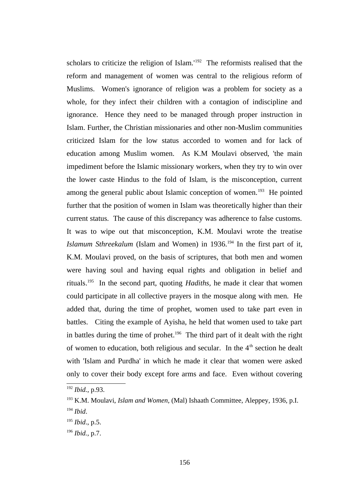scholars to criticize the religion of Islam.'<sup>[192](#page--1-18)</sup> The reformists realised that the reform and management of women was central to the religious reform of Muslims. Women's ignorance of religion was a problem for society as a whole, for they infect their children with a contagion of indiscipline and ignorance. Hence they need to be managed through proper instruction in Islam. Further, the Christian missionaries and other non-Muslim communities criticized Islam for the low status accorded to women and for lack of education among Muslim women. As K.M Moulavi observed, 'the main impediment before the Islamic missionary workers, when they try to win over the lower caste Hindus to the fold of Islam, is the misconception, current among the general public about Islamic conception of women.<sup>[193](#page--1-19)</sup> He pointed further that the position of women in Islam was theoretically higher than their current status. The cause of this discrepancy was adherence to false customs. It was to wipe out that misconception, K.M. Moulavi wrote the treatise *Islamum Sthreekalum* (Islam and Women) in 1936.<sup>[194](#page--1-13)</sup> In the first part of it, K.M. Moulavi proved, on the basis of scriptures, that both men and women were having soul and having equal rights and obligation in belief and rituals.[195](#page--1-14) In the second part, quoting *Hadiths,* he made it clear that women could participate in all collective prayers in the mosque along with men. He added that, during the time of prophet, women used to take part even in battles. Citing the example of Ayisha, he held that women used to take part in battles during the time of prohet.<sup>[196](#page--1-12)</sup> The third part of it dealt with the right of women to education, both religious and secular. In the  $4<sup>th</sup>$  section he dealt with 'Islam and Purdha' in which he made it clear that women were asked only to cover their body except fore arms and face. Even without covering

<sup>192</sup> *Ibid.*, p.93.

<sup>193</sup> K.M. Moulavi, *Islam and Women*, (Mal) Ishaath Committee, Aleppey, 1936, p.I.

<sup>194</sup> *Ibid*.

<sup>195</sup> *Ibid*., p.5.

<sup>196</sup> *Ibid.,* p.7.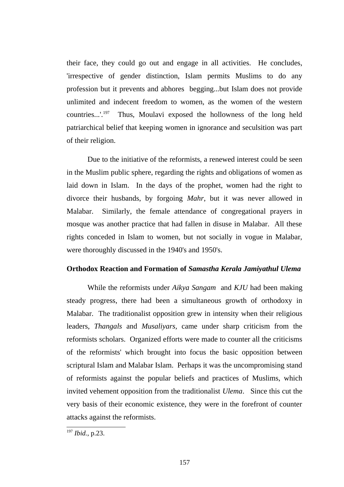their face, they could go out and engage in all activities. He concludes, 'irrespective of gender distinction, Islam permits Muslims to do any profession but it prevents and abhores begging...but Islam does not provide unlimited and indecent freedom to women, as the women of the western countries...'.[197](#page--1-12) Thus, Moulavi exposed the hollowness of the long held patriarchical belief that keeping women in ignorance and seculsition was part of their religion.

Due to the initiative of the reformists, a renewed interest could be seen in the Muslim public sphere, regarding the rights and obligations of women as laid down in Islam. In the days of the prophet, women had the right to divorce their husbands, by forgoing *Mahr*, but it was never allowed in Malabar. Similarly, the female attendance of congregational prayers in mosque was another practice that had fallen in disuse in Malabar. All these rights conceded in Islam to women, but not socially in vogue in Malabar, were thoroughly discussed in the 1940's and 1950's.

#### **Orthodox Reaction and Formation of** *Samastha Kerala Jamiyathul Ulema*

While the reformists under *Aikya Sangam* and *KJU* had been making steady progress, there had been a simultaneous growth of orthodoxy in Malabar. The traditionalist opposition grew in intensity when their religious leaders, *Thangals* and *Musaliyars,* came under sharp criticism from the reformists scholars. Organized efforts were made to counter all the criticisms of the reformists' which brought into focus the basic opposition between scriptural Islam and Malabar Islam. Perhaps it was the uncompromising stand of reformists against the popular beliefs and practices of Muslims, which invited vehement opposition from the traditionalist *Ulema*. Since this cut the very basis of their economic existence, they were in the forefront of counter attacks against the reformists.

<sup>197</sup> *Ibid.*, p.23.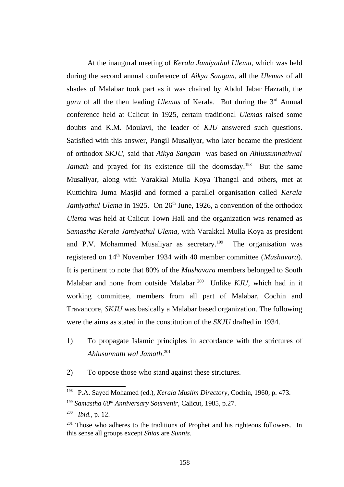At the inaugural meeting of *Kerala Jamiyathul Ulema*, which was held during the second annual conference of *Aikya Sangam*, all the *Ulemas* of all shades of Malabar took part as it was chaired by Abdul Jabar Hazrath, the *guru* of all the then leading *Ulemas* of Kerala. But during the 3rd Annual conference held at Calicut in 1925, certain traditional *Ulemas* raised some doubts and K.M. Moulavi, the leader of *KJU* answered such questions. Satisfied with this answer, Pangil Musaliyar, who later became the president of orthodox *SKJU,* said that *Aikya Sangam* was based on *Ahlussunnathwal* Jamath and prayed for its existence till the doomsday.<sup>[198](#page--1-11)</sup> But the same Musaliyar, along with Varakkal Mulla Koya Thangal and others, met at Kuttichira Juma Masjid and formed a parallel organisation called *Kerala Jamiyathul Ulema* in 1925. On 26<sup>th</sup> June, 1926, a convention of the orthodox *Ulema* was held at Calicut Town Hall and the organization was renamed as *Samastha Kerala Jamiyathul Ulema,* with Varakkal Mulla Koya as president and P.V. Mohammed Musaliyar as secretary.<sup>[199](#page--1-0)</sup> The organisation was registered on 14th November 1934 with 40 member committee (*Mushavara*). It is pertinent to note that 80% of the *Mushavara* members belonged to South Malabar and none from outside Malabar.<sup>[200](#page--1-1)</sup> Unlike *KJU*, which had in it working committee, members from all part of Malabar, Cochin and Travancore, *SKJU* was basically a Malabar based organization. The following were the aims as stated in the constitution of the *SKJU* drafted in 1934.

- 1) To propagate Islamic principles in accordance with the strictures of *Ahlusunnath wal Jamath*. [201](#page--1-2)
- 2) To oppose those who stand against these strictures.

200 *Ibid.*, p. 12.

<sup>198</sup> P.A. Sayed Mohamed (ed.), *Kerala Muslim Directory*, Cochin, 1960, p. 473. <sup>199</sup> *Samastha 60th Anniversary Sourvenir*, Calicut, 1985, p.27.

 $201$  Those who adheres to the traditions of Prophet and his righteous followers. In this sense all groups except *Shias* are *Sunnis*.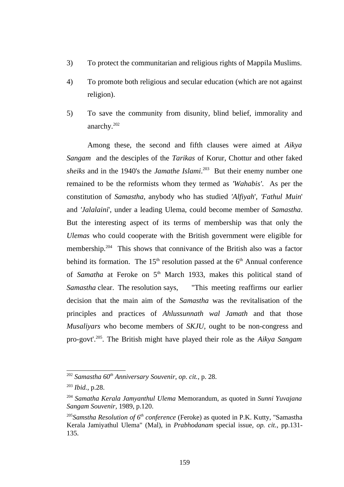- 3) To protect the communitarian and religious rights of Mappila Muslims.
- 4) To promote both religious and secular education (which are not against religion).
- 5) To save the community from disunity, blind belief, immorality and anarchy.<sup>[202](#page--1-7)</sup>

Among these, the second and fifth clauses were aimed at *Aikya Sangam* and the desciples of the *Tarikas* of Korur, Chottur and other faked *sheiks* and in the 1940's the *Jamathe Islami*. [203](#page--1-8) But their enemy number one remained to be the reformists whom they termed as *'Wahabis'*. As per the constitution of *Samastha*, anybody who has studied *'Alfiyah*', *'Fathul Muin*' and *'Jalalaini*', under a leading Ulema, could become member of *Samastha*. But the interesting aspect of its terms of membership was that only the *Ulemas* who could cooperate with the British government were eligible for membership.<sup>[204](#page--1-3)</sup> This shows that connivance of the British also was a factor behind its formation. The  $15<sup>th</sup>$  resolution passed at the  $6<sup>th</sup>$  Annual conference of *Samatha* at Feroke on 5<sup>th</sup> March 1933, makes this political stand of *Samastha* clear. The resolution says, "This meeting reaffirms our earlier decision that the main aim of the *Samastha* was the revitalisation of the principles and practices of *Ahlussunnath wal Jamath* and that those *Musaliyars* who become members of *SKJU,* ought to be non-congress and pro-govt'.[205](#page--1-4). The British might have played their role as the *Aikya Sangam*

<sup>202</sup> *Samastha 60th Anniversary Souvenir*, *op. cit.,* p. 28.

<sup>203</sup> *Ibid.*, p.28.

<sup>204</sup> *Samatha Kerala Jamyanthul Ulema* Memorandum, as quoted in *Sunni Yuvajana Sangam Souvenir,* 1989, p.120.

<sup>205</sup>*Samstha Resolution of 6th conference* (Feroke) as quoted in P.K. Kutty, "Samastha Kerala Jamiyathul Ulema" (Mal), in *Prabhodanam* special issue, *op. cit.,* pp.131- 135.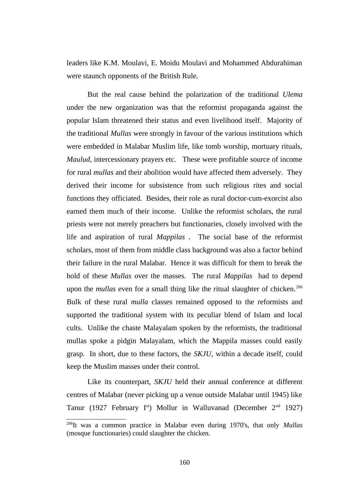leaders like K.M. Moulavi, E. Moidu Moulavi and Mohammed Abdurahiman were staunch opponents of the British Rule.

But the real cause behind the polarization of the traditional *Ulema* under the new organization was that the reformist propaganda against the popular Islam threatened their status and even livelihood itself. Majority of the traditional *Mullas* were strongly in favour of the various institutions which were embedded in Malabar Muslim life, like tomb worship, mortuary rituals, *Maulud*, intercessionary prayers etc. These were profitable source of income for rural *mullas* and their abolition would have affected them adversely. They derived their income for subsistence from such religious rites and social functions they officiated. Besides, their role as rural doctor-cum-exorcist also earned them much of their income. Unlike the reformist scholars, the rural priests were not merely preachers but functionaries, closely involved with the life and aspiration of rural *Mappilas* . The social base of the reformist scholars, most of them from middle class background was also a factor behind their failure in the rural Malabar. Hence it was difficult for them to break the hold of these *Mullas* over the masses. The rural *Mappilas* had to depend upon the *mullas* even for a small thing like the ritual slaughter of chicken.<sup>[206](#page--1-2)</sup> Bulk of these rural *mulla* classes remained opposed to the reformists and supported the traditional system with its peculiar blend of Islam and local cults. Unlike the chaste Malayalam spoken by the reformists, the traditional mullas spoke a pidgin Malayalam, which the Mappila masses could easily grasp. In short, due to these factors, the *SKJU*, within a decade itself, could keep the Muslim masses under their control.

Like its counterpart, *SKJU* held their annual conference at different centres of Malabar (never picking up a venue outside Malabar until 1945) like Tanur (1927 February I<sup>st</sup>) Mollur in Walluvanad (December  $2<sup>nd</sup>$  1927)

<sup>206</sup>It was a common practice in Malabar even during 1970's, that only *Mullas* (mosque functionaries) could slaughter the chicken.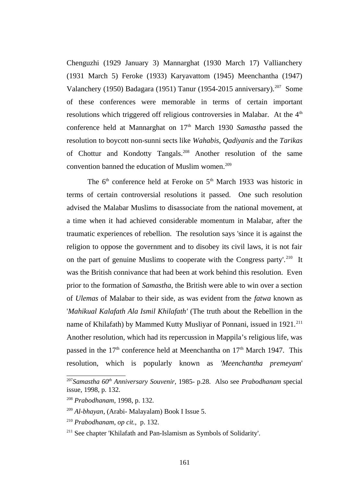Chenguzhi (1929 January 3) Mannarghat (1930 March 17) Vallianchery (1931 March 5) Feroke (1933) Karyavattom (1945) Meenchantha (1947) Valanchery (1950) Badagara (1951) Tanur (1954-2015 anniversary).<sup>[207](#page--1-10)</sup> Some of these conferences were memorable in terms of certain important resolutions which triggered off religious controversies in Malabar. At the  $4<sup>th</sup>$ conference held at Mannarghat on 17<sup>th</sup> March 1930 Samastha passed the resolution to boycott non-sunni sects like *Wahabis, Qadiyanis* and the *Tarikas* of Chottur and Kondotty Tangals.<sup>[208](#page--1-19)</sup> Another resolution of the same convention banned the education of Muslim women.<sup>[209](#page--1-13)</sup>

The  $6<sup>th</sup>$  conference held at Feroke on  $5<sup>th</sup>$  March 1933 was historic in terms of certain controversial resolutions it passed. One such resolution advised the Malabar Muslims to disassociate from the national movement, at a time when it had achieved considerable momentum in Malabar, after the traumatic experiences of rebellion. The resolution says 'since it is against the religion to oppose the government and to disobey its civil laws, it is not fair on the part of genuine Muslims to cooperate with the Congress party'.<sup>[210](#page--1-14)</sup> It was the British connivance that had been at work behind this resolution. Even prior to the formation of *Samastha*, the British were able to win over a section of *Ulemas* of Malabar to their side, as was evident from the *fatwa* known as '*Mahikual Kalafath Ala Ismil Khilafath'* (The truth about the Rebellion in the name of Khilafath) by Mammed Kutty Musliyar of Ponnani, issued in 1921.<sup>[211](#page--1-12)</sup> Another resolution, which had its repercussion in Mappila's religious life, was passed in the  $17<sup>th</sup>$  conference held at Meenchantha on  $17<sup>th</sup>$  March 1947. This resolution, which is popularly known as *'Meenchantha premeyam*'

<sup>207</sup>*Samastha 60th Anniversary Souvenir,* 1985- p.28. Also see *Prabodhanam* special issue, 1998, p. 132.

<sup>208</sup> *Prabodhanam,* 1998, p. 132.

<sup>209</sup> *Al-bhayan*, (Arabi- Malayalam) Book I Issue 5.

<sup>210</sup> *Prabodhanam*, *op cit.,* p. 132.

<sup>&</sup>lt;sup>211</sup> See chapter 'Khilafath and Pan-Islamism as Symbols of Solidarity'.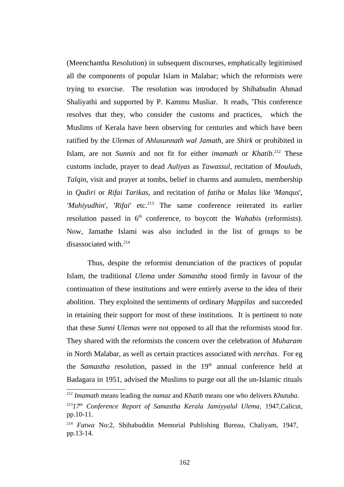(Meenchantha Resolution) in subsequent discourses, emphatically legitimised all the components of popular Islam in Malabar; which the reformists were trying to exorcise. The resolution was introduced by Shihabudin Ahmad Shaliyathi and supported by P. Kammu Musliar. It reads, 'This conference resolves that they, who consider the customs and practices, which the Muslims of Kerala have been observing for centuries and which have been ratified by the *Ulemas* of *Ahlusunnath wal Jamath*, are *Shirk* or prohibited in Islam, are not *Sunnis* and not fit for either *imamath* or *Khatib*. [212](#page--1-17) These customs include, prayer to dead *Auliyas* as *Tawassul*, recitation of *Mouluds*, *Talqin*, visit and prayer at tombs, belief in charms and aumulets, membership in *Qadiri* or *Rifai Tarikas*, and recitation of *fatiha* or *Malas* like *'Manqus*', *'Muhiyudhin'*, '*Rifai'* etc.<sup>[213](#page--1-9)</sup> The same conference reiterated its earlier resolution passed in  $6<sup>th</sup>$  conference, to boycott the *Wahabis* (reformists). Now, Jamathe Islami was also included in the list of groups to be disassociated with.<sup>[214](#page--1-2)</sup>

Thus, despite the reformist denunciation of the practices of popular Islam, the traditional *Ulema* under *Samastha* stood firmly in favour of the continuation of these institutions and were entirely averse to the idea of their abolition. They exploited the sentiments of ordinary *Mappilas* and succeeded in retaining their support for most of these institutions. It is pertinent to note that these *Sunni Ulemas* were not opposed to all that the reformists stood for. They shared with the reformists the concern over the celebration of *Muharam* in North Malabar, as well as certain practices associated with *nerchas*. For eg the *Samastha* resolution, passed in the 19<sup>th</sup> annual conference held at Badagara in 1951, advised the Muslims to purge out all the un-Islamic rituals

<sup>212</sup> *Imamath* means leading the *namaz* and *Khatib* means one who delivers *Khutuba*.

<sup>213</sup>*17th Conference Report of Samastha Kerala Jamiyyalul Ulema,* 1947,Calicut, pp.10-11.

<sup>214</sup> *Fatwa* No:2, Shihabuddin Memorial Publishing Bureau, Chaliyam, 1947, pp.13-14.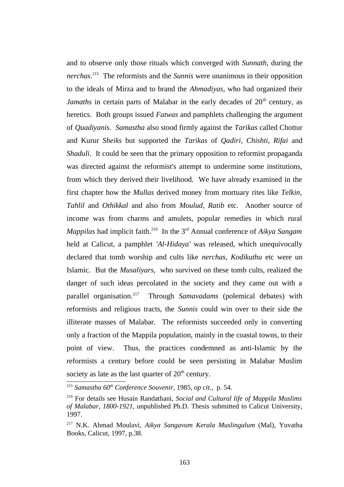and to observe only those rituals which converged with *Sunnath*, during the *nerchas*. [215](#page--1-8) The reformists and the *Sunnis* were unanimous in their opposition to the ideals of Mirza and to brand the *Ahmadiyas,* who had organized their *Jamaths* in certain parts of Malabar in the early decades of 20<sup>th</sup> century, as heretics. Both groups issued *Fatwas* and pamphlets challenging the argument of *Quadiyanis*. *Samastha* also stood firmly against the *Tarikas* called Chottur and Kurur *Sheiks* but supported the *Tarikas* of *Qadiri*, *Chishti, Rifai* and *Shaduli*. It could be seen that the primary opposition to reformist propaganda was directed against the reformist's attempt to undermine some institutions, from which they derived their livelihood. We have already examined in the first chapter how the *Mullas* derived money from mortuary rites like *Telkin, Tahlil* and *Othikkal* and also from *Moulud*, *Ratib* etc. Another source of income was from charms and amulets, popular remedies in which rural *Mappilas* had implicit faith.[216](#page--1-3) In the 3rd Annual conference of *Aikya Sangam* held at Calicut, a pamphlet *'Al-Hidaya'* was released, which unequivocally declared that tomb worship and cults like *nerchas, Kodikuthu* etc were un Islamic. But the *Musaliyars,* who survived on these tomb cults, realized the danger of such ideas percolated in the society and they came out with a parallel organisation.[217](#page--1-2) Through *Samavadams* (polemical debates) with reformists and religious tracts, the *Sunnis* could win over to their side the illiterate masses of Malabar. The reformists succeeded only in converting only a fraction of the Mappila population, mainly in the coastal towns, to their point of view. Thus, the practices condemned as anti-Islamic by the reformists a century before could be seen persisting in Malabar Muslim society as late as the last quarter of  $20<sup>th</sup>$  century.

<sup>215</sup> *Samastha 60th Conference Souvenir*, 1985, *op cit.,* p. 54.

<sup>216</sup> For details see Husain Randathani, *Social and Cultural life of Mappila Muslims of Malabar, 1800-1921,* unpublished Ph.D. Thesis submitted to Calicut University, 1997.

<sup>217</sup> N.K. Ahmad Moulavi, *Aikya Sangavum Kerala Muslingalum* (Mal), Yuvatha Books, Calicut, 1997, p.38.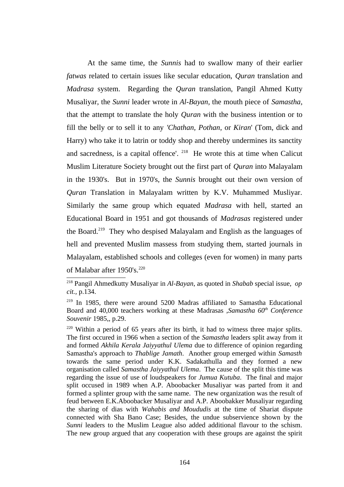At the same time, the *Sunnis* had to swallow many of their earlier *fatwas* related to certain issues like secular education, *Quran* translation and *Madrasa* system. Regarding the *Quran* translation, Pangil Ahmed Kutty Musaliyar, the *Sunni* leader wrote in *Al-Bayan*, the mouth piece of *Samastha*, that the attempt to translate the holy *Quran* with the business intention or to fill the belly or to sell it to any *'Chathan, Pothan*, or *Kiran*' (Tom, dick and Harry) who take it to latrin or toddy shop and thereby undermines its sanctity and sacredness, is a capital offence'.  $218$  He wrote this at time when Calicut Muslim Literature Society brought out the first part of *Quran* into Malayalam in the 1930's. But in 1970's, the *Sunnis* brought out their own version of *Quran* Translation in Malayalam written by K.V. Muhammed Musliyar. Similarly the same group which equated *Madrasa* with hell, started an Educational Board in 1951 and got thousands of *Madrasas* registered under the Board.<sup>[219](#page--1-26)</sup> They who despised Malayalam and English as the languages of hell and prevented Muslim massess from studying them, started journals in Malayalam, established schools and colleges (even for women) in many parts of Malabar after 1950's.<sup>[220](#page--1-27)</sup>

<sup>218</sup> Pangil Ahmedkutty Musaliyar in *Al-Bayan*, as quoted in *Shabab* special issue, *op cit.,* p.134.

<sup>&</sup>lt;sup>219</sup> In 1985, there were around 5200 Madras affiliated to Samastha Educational Board and 40,000 teachers working at these Madrasas ,*Samastha 60th Conference Souvenir* 1985,, p.29.

 $220$  Within a period of 65 years after its birth, it had to witness three major splits. The first occured in 1966 when a section of the *Samastha* leaders split away from it and formed *Akhila Kerala Jaiyyathul Ulema* due to difference of opinion regarding Samastha's approach to *Thablige Jamath*. Another group emerged within *Samasth* towards the same period under K.K. Sadakathulla and they formed a new organisation called *Samastha Jaiyyathul Ulema*. The cause of the split this time was regarding the issue of use of loudspeakers for *Jumua Kutuba*. The final and major split occused in 1989 when A.P. Aboobacker Musaliyar was parted from it and formed a splinter group with the same name. The new organization was the result of feud between E.K.Aboobacker Musaliyar and A.P. Aboobakker Musaliyar regarding the sharing of dias with *Wahabis and Moududis* at the time of Shariat dispute connected with Sha Bano Case; Besides, the undue subservience shown by the *Sunni* leaders to the Muslim League also added additional flavour to the schism. The new group argued that any cooperation with these groups are against the spirit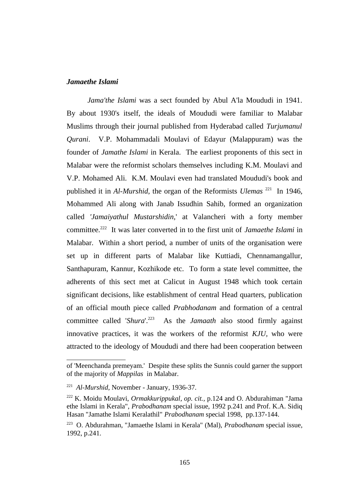# *Jamaethe Islami*

*Jama'the Islami* was a sect founded by Abul A'la Moududi in 1941. By about 1930's itself, the ideals of Moududi were familiar to Malabar Muslims through their journal published from Hyderabad called *Turjumanul Qurani*. V.P. Mohammadali Moulavi of Edayur (Malappuram) was the founder of *Jamathe Islami* in Kerala. The earliest proponents of this sect in Malabar were the reformist scholars themselves including K.M. Moulavi and V.P. Mohamed Ali. K.M. Moulavi even had translated Moududi's book and published it in *Al-Murshid*, the organ of the Reformists *Ulemas* [221](#page--1-8) In 1946, Mohammed Ali along with Janab Issudhin Sahib, formed an organization called *'Jamaiyathul Mustarshidin,*' at Valancheri with a forty member committee.[222](#page--1-3) It was later converted in to the first unit of *Jamaethe Islami* in Malabar. Within a short period, a number of units of the organisation were set up in different parts of Malabar like Kuttiadi, Chennamangallur, Santhapuram, Kannur, Kozhikode etc. To form a state level committee, the adherents of this sect met at Calicut in August 1948 which took certain significant decisions, like establishment of central Head quarters, publication of an official mouth piece called *Prabhodanam* and formation of a central committee called '*Shura*'.[223](#page--1-2) As the *Jamaath* also stood firmly against innovative practices, it was the workers of the reformist *KJU,* who were attracted to the ideology of Moududi and there had been cooperation between

of 'Meenchanda premeyam.' Despite these splits the Sunnis could garner the support of the majority of *Mappilas* in Malabar.

<sup>221</sup> *Al-Murshid*, November - January, 1936-37.

<sup>222</sup> K. Moidu Moulavi, *Ormakkurippukal*, *op. cit.,* p.124 and O. Abdurahiman "Jama ethe Islami in Kerala", *Prabodhanam* special issue, 1992 p.241 and Prof. K.A. Sidiq Hasan "Jamathe Islami Keralathil" *Prabodhanam* special 1998, pp.137-144.

<sup>223</sup> O. Abdurahman, "Jamaethe Islami in Kerala" (Mal), *Prabodhanam* special issue, 1992, p.241.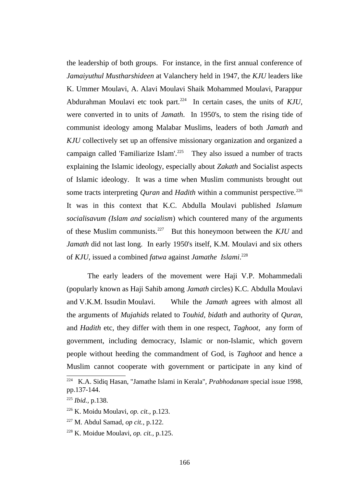the leadership of both groups. For instance, in the first annual conference of *Jamaiyuthul Mustharshideen* at Valanchery held in 1947, the *KJU* leaders like K. Ummer Moulavi, A. Alavi Moulavi Shaik Mohammed Moulavi, Parappur Abdurahman Moulavi etc took part.<sup>[224](#page--1-10)</sup> In certain cases, the units of *KJU*, were converted in to units of *Jamath*. In 1950's, to stem the rising tide of communist ideology among Malabar Muslims, leaders of both *Jamath* and *KJU* collectively set up an offensive missionary organization and organized a campaign called 'Familiarize Islam'.<sup>[225](#page--1-19)</sup> They also issued a number of tracts explaining the Islamic ideology, especially about *Zakath* and Socialist aspects of Islamic ideology. It was a time when Muslim communists brought out some tracts interpreting *Quran* and *Hadith* within a communist perspective.<sup>[226](#page--1-13)</sup> It was in this context that K.C. Abdulla Moulavi published *Islamum socialisavum (Islam and socialism*) which countered many of the arguments of these Muslim communists.[227](#page--1-14) But this honeymoon between the *KJU* and *Jamath* did not last long. In early 1950's itself, K.M. Moulavi and six others of *KJU,* issued a combined *fatwa* against *Jamathe Islami*. [228](#page--1-12)

The early leaders of the movement were Haji V.P. Mohammedali (popularly known as Haji Sahib among *Jamath* circles) K.C. Abdulla Moulavi and V.K.M. Issudin Moulavi. While the *Jamath* agrees with almost all the arguments of *Mujahids* related to *Touhid, bidath* and authority of *Quran,* and *Hadith* etc, they differ with them in one respect, *Taghoot*, any form of government, including democracy, Islamic or non-Islamic, which govern people without heeding the commandment of God, is *Taghoot* and hence a Muslim cannot cooperate with government or participate in any kind of

<sup>224</sup> K.A. Sidiq Hasan, "Jamathe Islami in Kerala", *Prabhodanam* special issue 1998, pp.137-144.

<sup>225</sup> *Ibid.,* p.138.

<sup>226</sup> K. Moidu Moulavi, *op. cit.,* p.123.

<sup>227</sup> M. Abdul Samad, *op cit.,* p.122.

<sup>228</sup> K. Moidue Moulavi, *op. cit.,* p.125.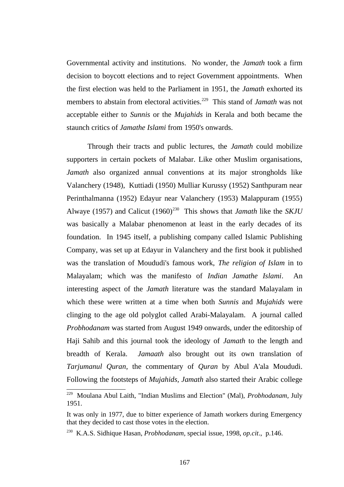Governmental activity and institutions. No wonder, the *Jamath* took a firm decision to boycott elections and to reject Government appointments. When the first election was held to the Parliament in 1951, the *Jamath* exhorted its members to abstain from electoral activities.<sup>[229](#page--1-17)</sup> This stand of *Jamath* was not acceptable either to *Sunnis* or the *Mujahids* in Kerala and both became the staunch critics of *Jamathe Islami* from 1950's onwards.

Through their tracts and public lectures, the *Jamath* could mobilize supporters in certain pockets of Malabar. Like other Muslim organisations, *Jamath* also organized annual conventions at its major strongholds like Valanchery (1948), Kuttiadi (1950) Mulliar Kurussy (1952) Santhpuram near Perinthalmanna (1952) Edayur near Valanchery (1953) Malappuram (1955) Alwaye (1957) and Calicut (1960)<sup>[230](#page--1-12)</sup> This shows that *Jamath* like the *SKJU* was basically a Malabar phenomenon at least in the early decades of its foundation. In 1945 itself, a publishing company called Islamic Publishing Company, was set up at Edayur in Valanchery and the first book it published was the translation of Moududi's famous work, *The religion of Islam* in to Malayalam; which was the manifesto of *Indian Jamathe Islami*. An interesting aspect of the *Jamath* literature was the standard Malayalam in which these were written at a time when both *Sunnis* and *Mujahids* were clinging to the age old polyglot called Arabi-Malayalam. A journal called *Probhodanam* was started from August 1949 onwards, under the editorship of Haji Sahib and this journal took the ideology of *Jamath* to the length and breadth of Kerala. *Jamaath* also brought out its own translation of *Tarjumanul Quran*, the commentary of *Quran* by Abul A'ala Moududi. Following the footsteps of *Mujahids, Jamath* also started their Arabic college

<sup>229</sup> Moulana Abul Laith, "Indian Muslims and Election" (Mal), *Probhodanam,* July 1951.

It was only in 1977, due to bitter experience of Jamath workers during Emergency that they decided to cast those votes in the election.

<sup>230</sup> K.A.S. Sidhique Hasan, *Probhodanam,* special issue, 1998, *op.cit*., p.146.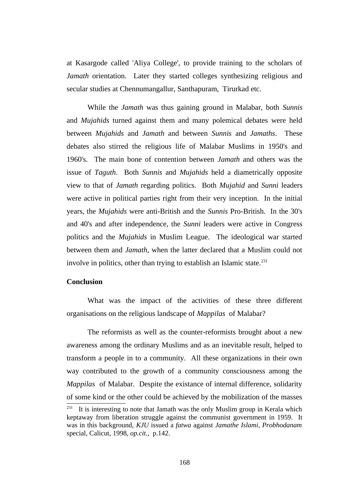at Kasargode called 'Aliya College', to provide training to the scholars of *Jamath* orientation. Later they started colleges synthesizing religious and secular studies at Chennumangallur, Santhapuram, Tirurkad etc.

While the *Jamath* was thus gaining ground in Malabar, both *Sunnis* and *Mujahids* turned against them and many polemical debates were held between *Mujahids* and *Jamath* and between *Sunnis* and *Jamaths*. These debates also stirred the religious life of Malabar Muslims in 1950's and 1960's. The main bone of contention between *Jamath* and others was the issue of *Taguth*. Both *Sunnis* and *Mujahids* held a diametrically opposite view to that of *Jamath* regarding politics. Both *Mujahid* and *Sunni* leaders were active in political parties right from their very inception. In the initial years, the *Mujahids* were anti-British and the *Sunnis* Pro-British. In the 30's and 40's and after independence, the *Sunni* leaders were active in Congress politics and the *Mujahids* in Muslim League. The ideological war started between them and *Jamath*, when the latter declared that a Muslim could not involve in politics, other than trying to establish an Islamic state.<sup>[231](#page--1-28)</sup>

# **Conclusion**

What was the impact of the activities of these three different organisations on the religious landscape of *Mappilas* of Malabar?

The reformists as well as the counter-reformists brought about a new awareness among the ordinary Muslims and as an inevitable result, helped to transform a people in to a community. All these organizations in their own way contributed to the growth of a community consciousness among the *Mappilas* of Malabar. Despite the existance of internal difference, solidarity of some kind or the other could be achieved by the mobilization of the masses It is interesting to note that Jamath was the only Muslim group in Kerala which keptaway from liberation struggle against the communist government in 1959. It was in this background, *KJU* issued a *fatwa* against *Jamathe Islami*, *Probhodanam* special, Calicut, 1998, *op.cit*., p.142.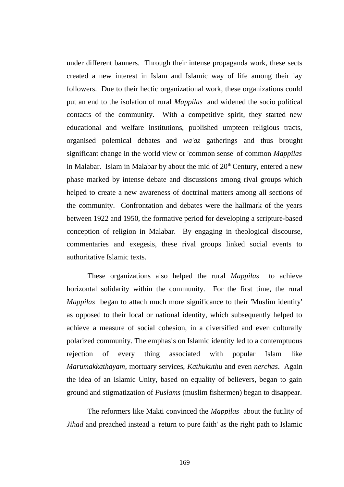under different banners. Through their intense propaganda work, these sects created a new interest in Islam and Islamic way of life among their lay followers. Due to their hectic organizational work, these organizations could put an end to the isolation of rural *Mappilas* and widened the socio political contacts of the community. With a competitive spirit, they started new educational and welfare institutions, published umpteen religious tracts, organised polemical debates and *wa'az* gatherings and thus brought significant change in the world view or 'common sense' of common *Mappilas* in Malabar. Islam in Malabar by about the mid of  $20<sup>th</sup>$  Century, entered a new phase marked by intense debate and discussions among rival groups which helped to create a new awareness of doctrinal matters among all sections of the community. Confrontation and debates were the hallmark of the years between 1922 and 1950, the formative period for developing a scripture-based conception of religion in Malabar. By engaging in theological discourse, commentaries and exegesis, these rival groups linked social events to authoritative Islamic texts.

These organizations also helped the rural *Mappilas* to achieve horizontal solidarity within the community. For the first time, the rural *Mappilas* began to attach much more significance to their 'Muslim identity' as opposed to their local or national identity, which subsequently helped to achieve a measure of social cohesion, in a diversified and even culturally polarized community. The emphasis on Islamic identity led to a contemptuous rejection of every thing associated with popular Islam like *Marumakkathayam*, mortuary services, *Kathukuthu* and even *nerchas*. Again the idea of an Islamic Unity, based on equality of believers, began to gain ground and stigmatization of *Puslams* (muslim fishermen) began to disappear.

The reformers like Makti convinced the *Mappilas* about the futility of *Jihad* and preached instead a 'return to pure faith' as the right path to Islamic